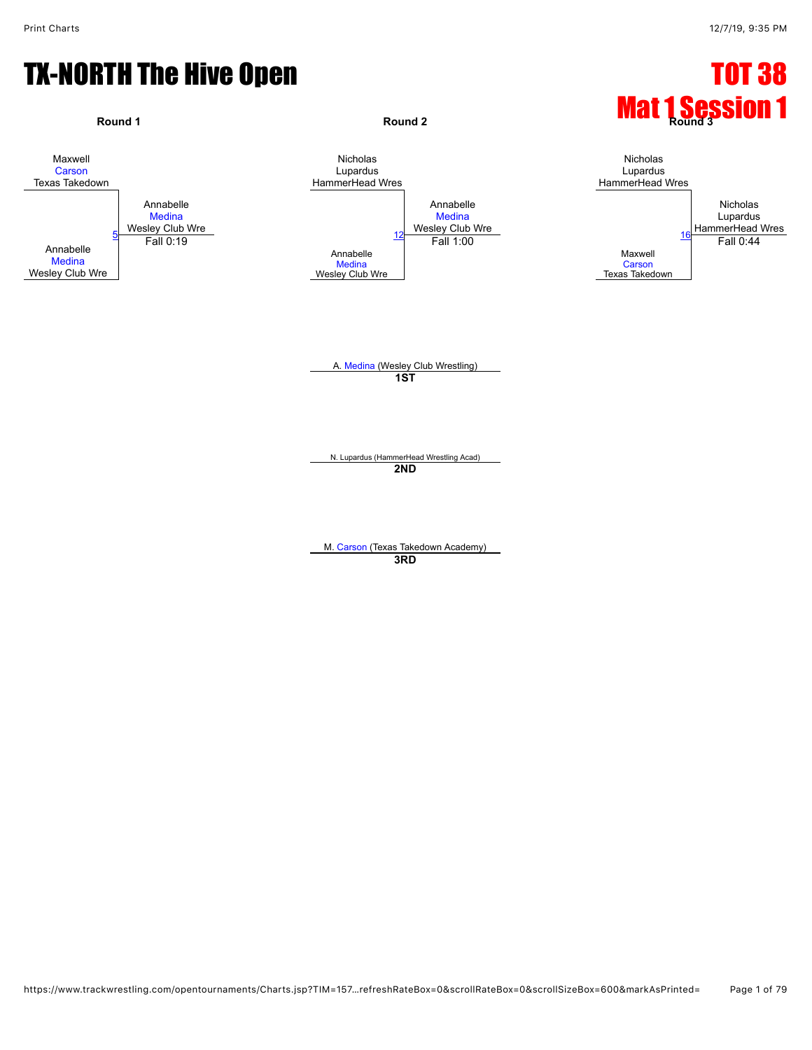#### TX-NORTH The Hive Open TX-NORTH TO HIVE OPEN TO THE TOT 38

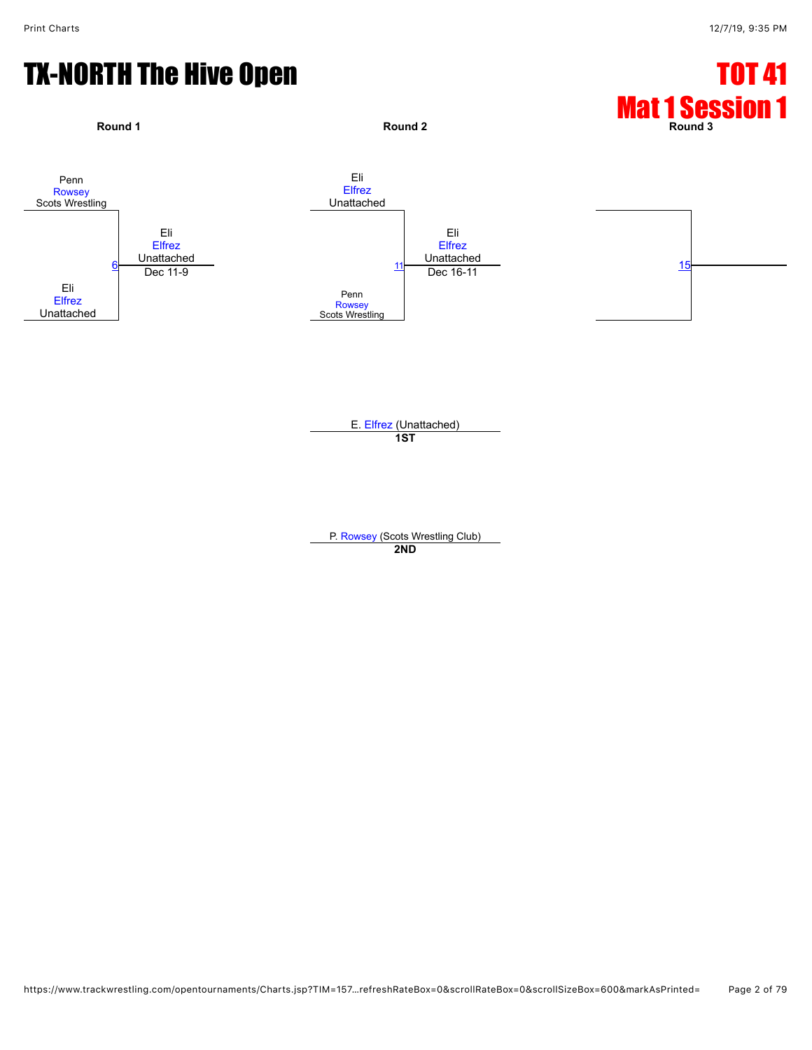## TX-NORTH The Hive Open TX-NORTH TO Hive Open

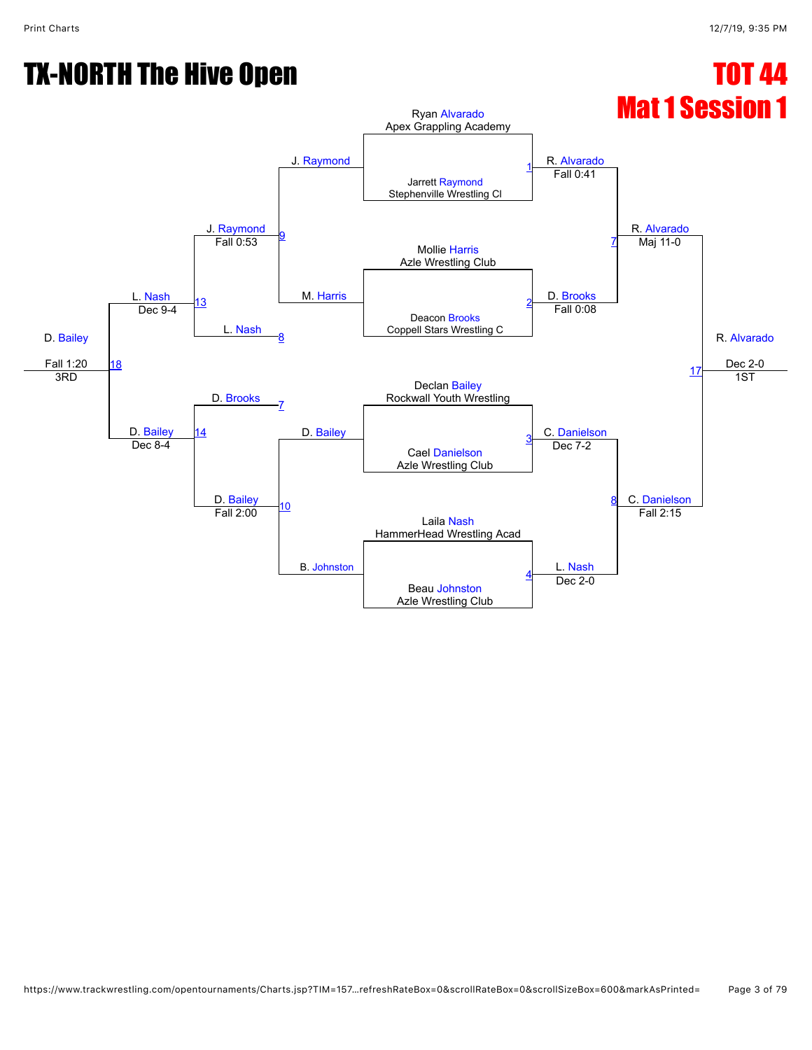# TX-NORTH The Hive Open TX-NORTH TO HIVE OPEN TO THE TOT 44

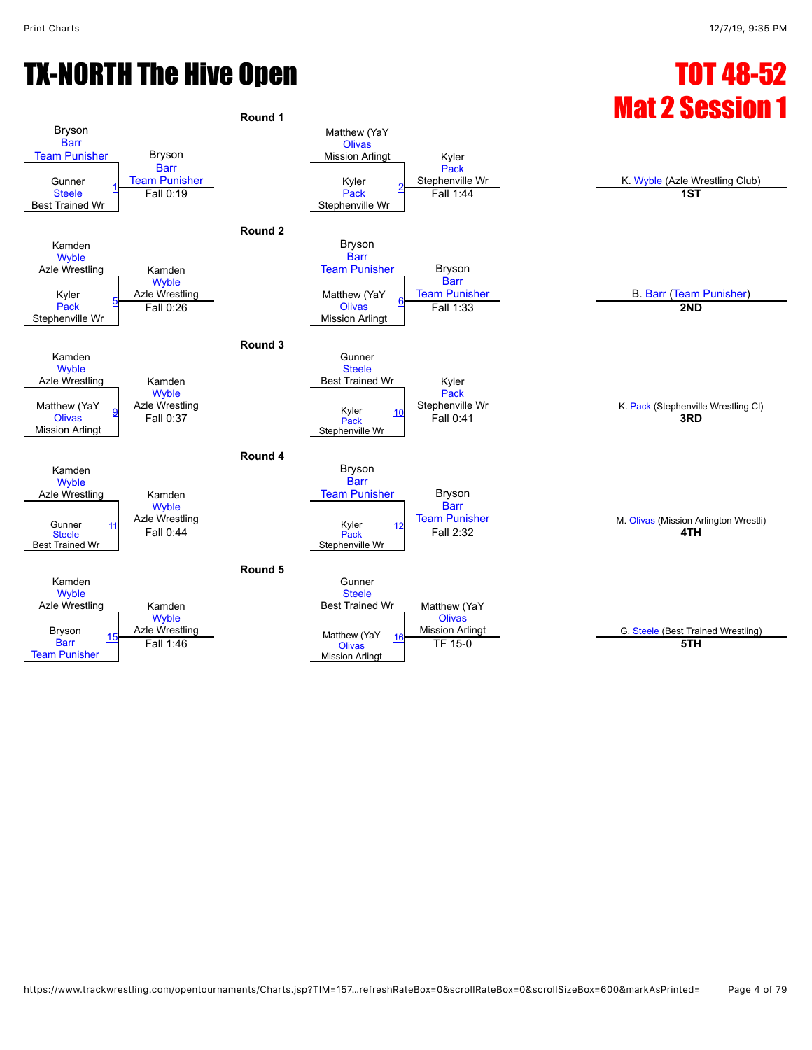## TX-NORTH The Hive Open TX-NORTH TO Hive Open

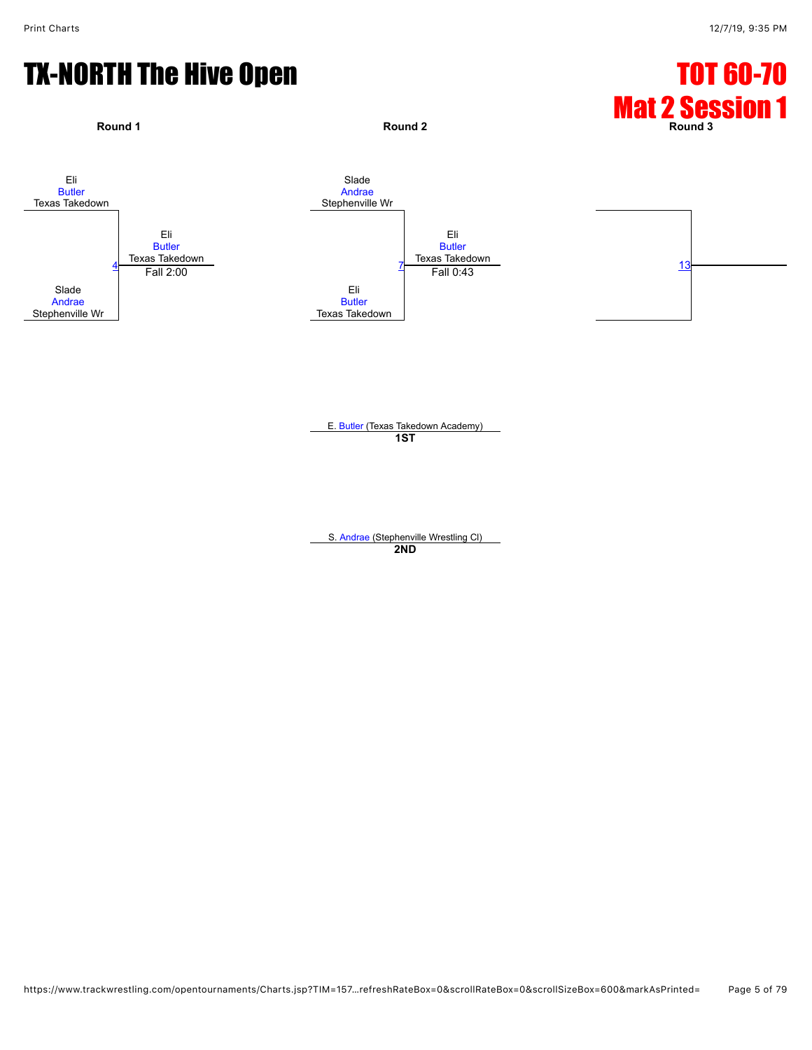## TX-NORTH The Hive Open TX-NORTH TO HIVE OPEN TO THE TOT 60-70



E. [Butler](javascript:viewProfile(1820780132)) (Texas Takedown Academy) **1ST**

S. [Andrae](javascript:viewProfile(184548135)) (Stephenville Wrestling Cl) **2ND**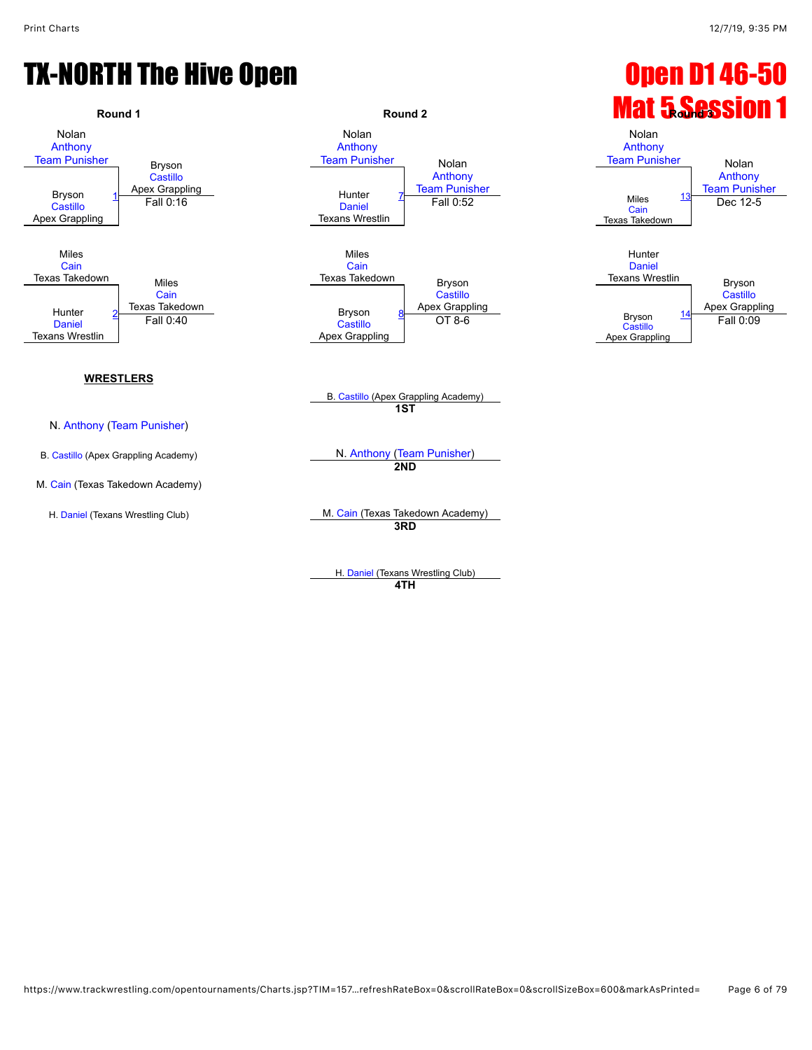

H. [Daniel](javascript:viewProfile(64696135)) (Texans Wrestling Club) **4TH**

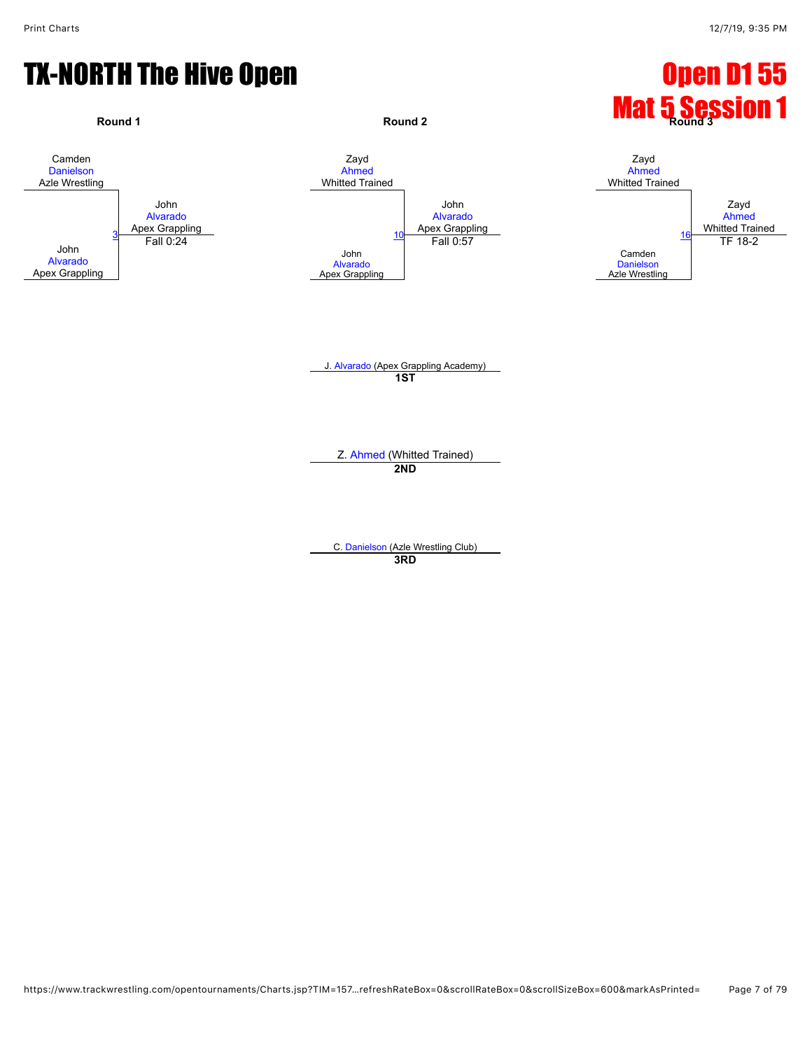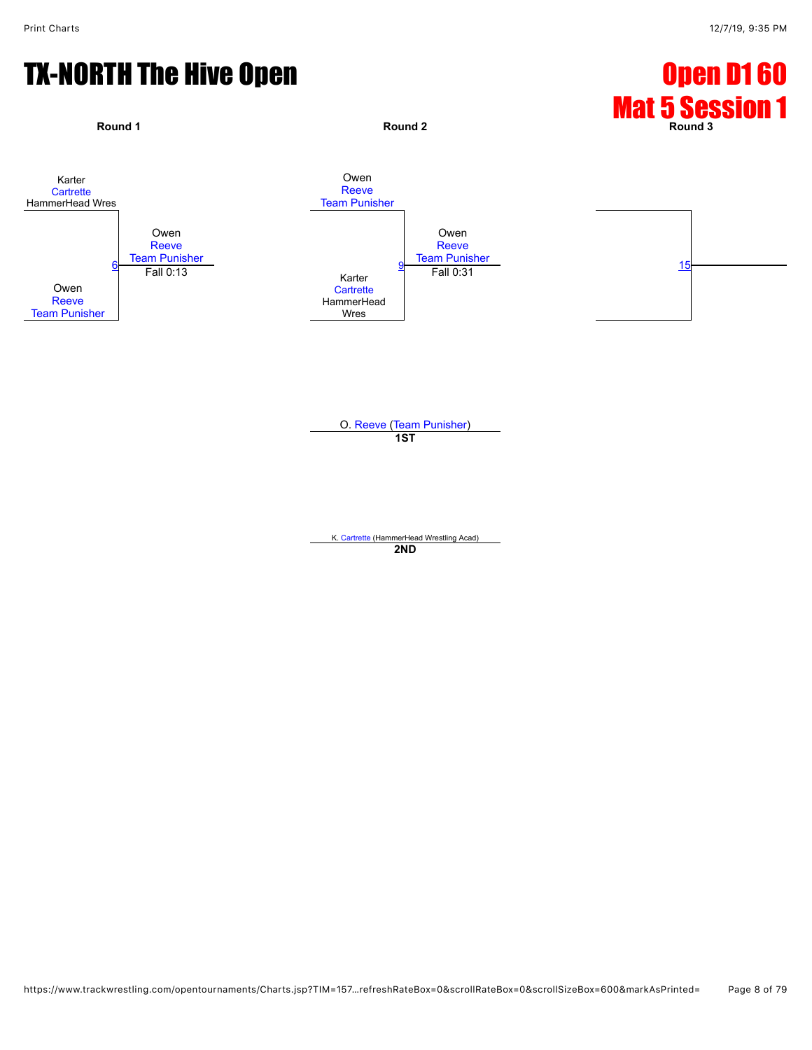

O. [Reeve](javascript:viewProfile(926553132)) ([Team Punisher](javascript:viewClub(232076))) **1ST**

K. [Cartrette](javascript:viewProfile(184673135)) (HammerHead Wrestling Acad) **2ND**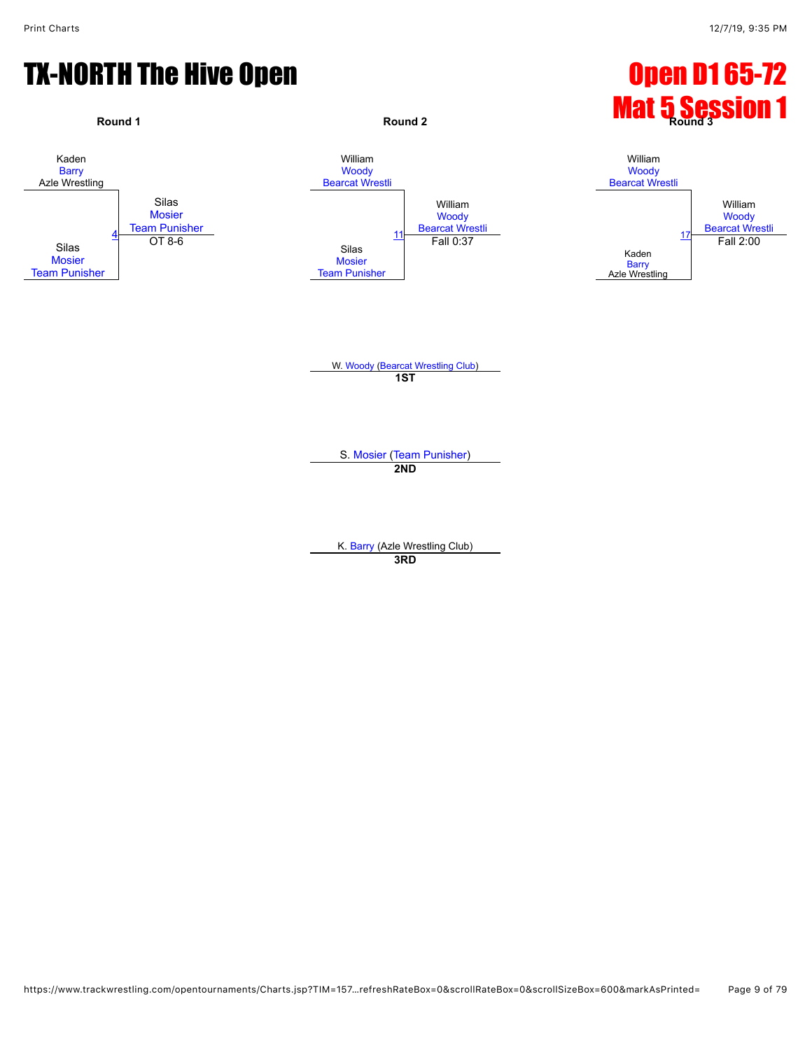## TX-NORTH The Hive Open **Department Control** Control Control Open D1 65-72

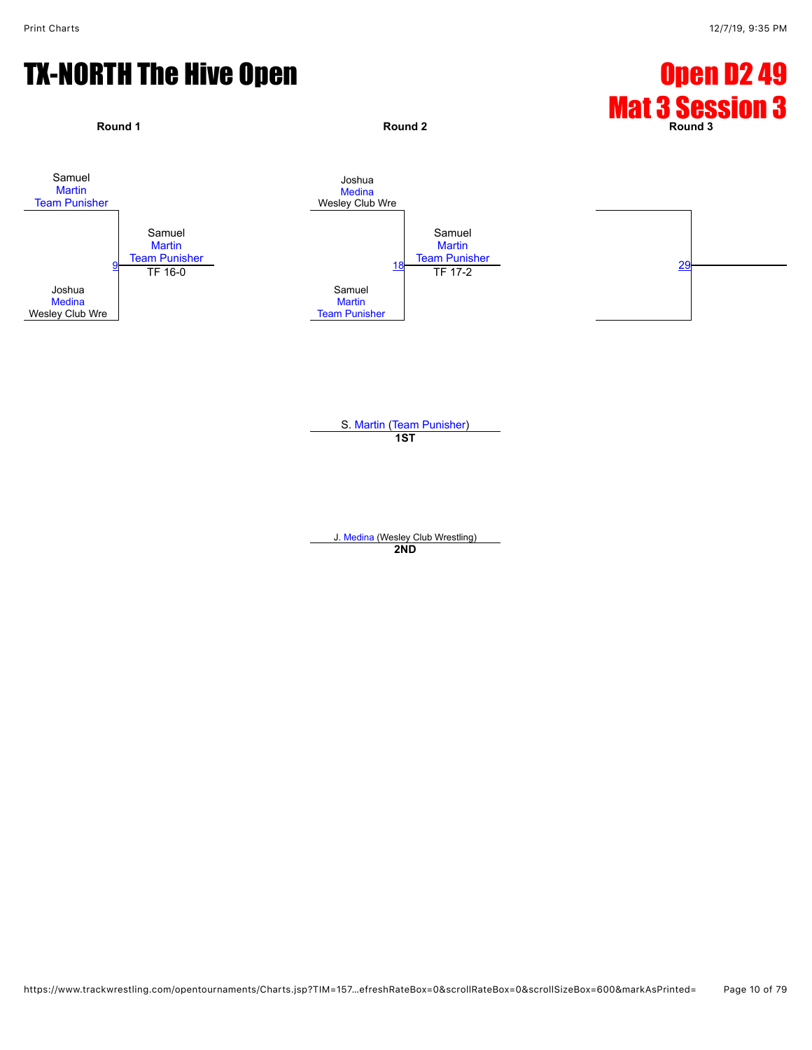

S. [Martin](javascript:viewProfile(865229132)) ([Team Punisher](javascript:viewClub(232076))) **1ST**

J. [Medina](javascript:viewProfile(911323132)) (Wesley Club Wrestling) **2ND**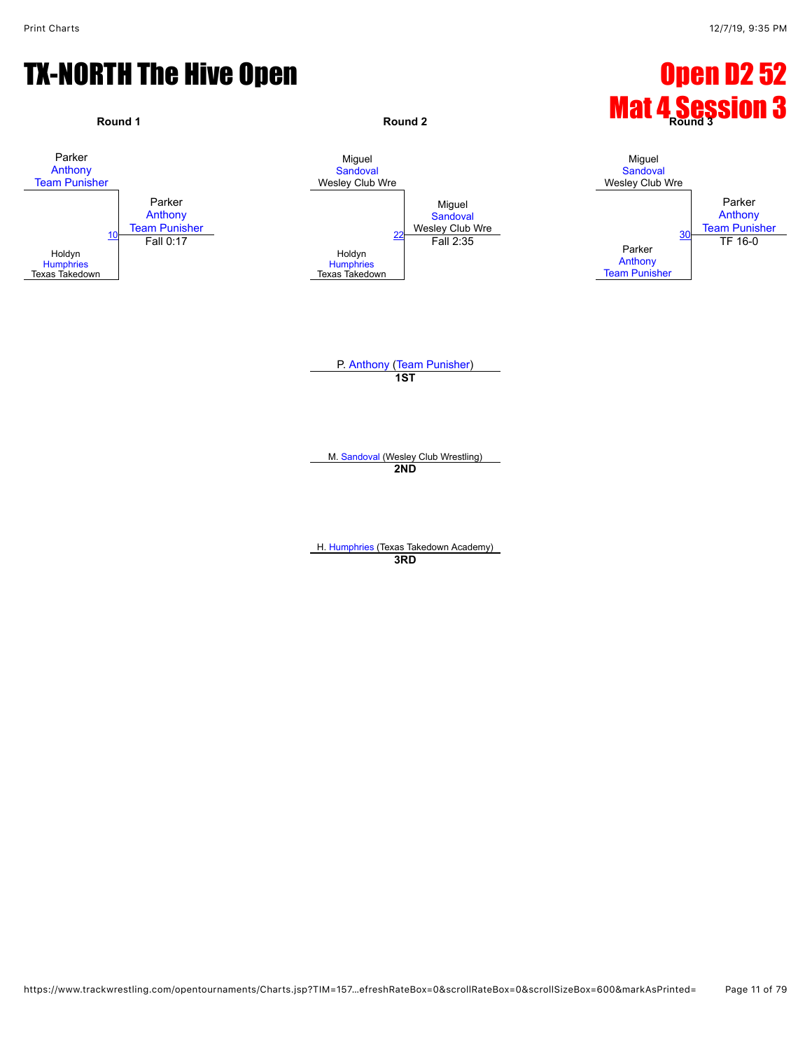

**3RD**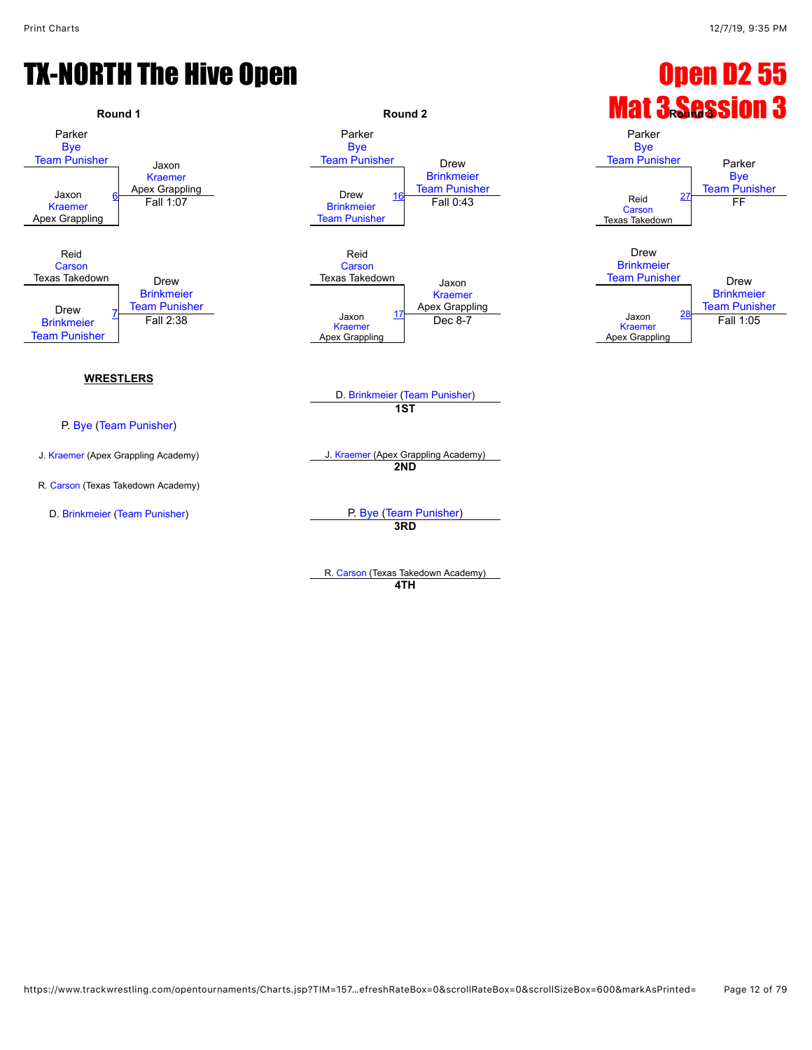

**4TH**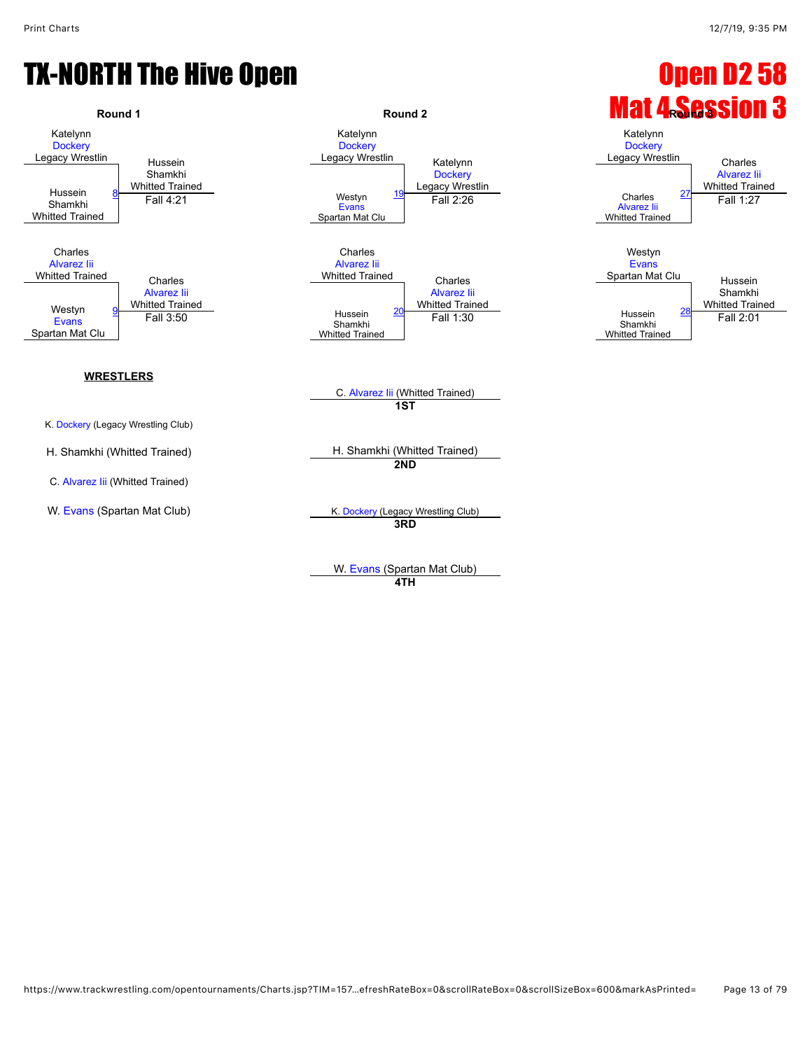

W. [Evans](javascript:viewProfile(24162094)) (Spartan Mat Club) **4TH**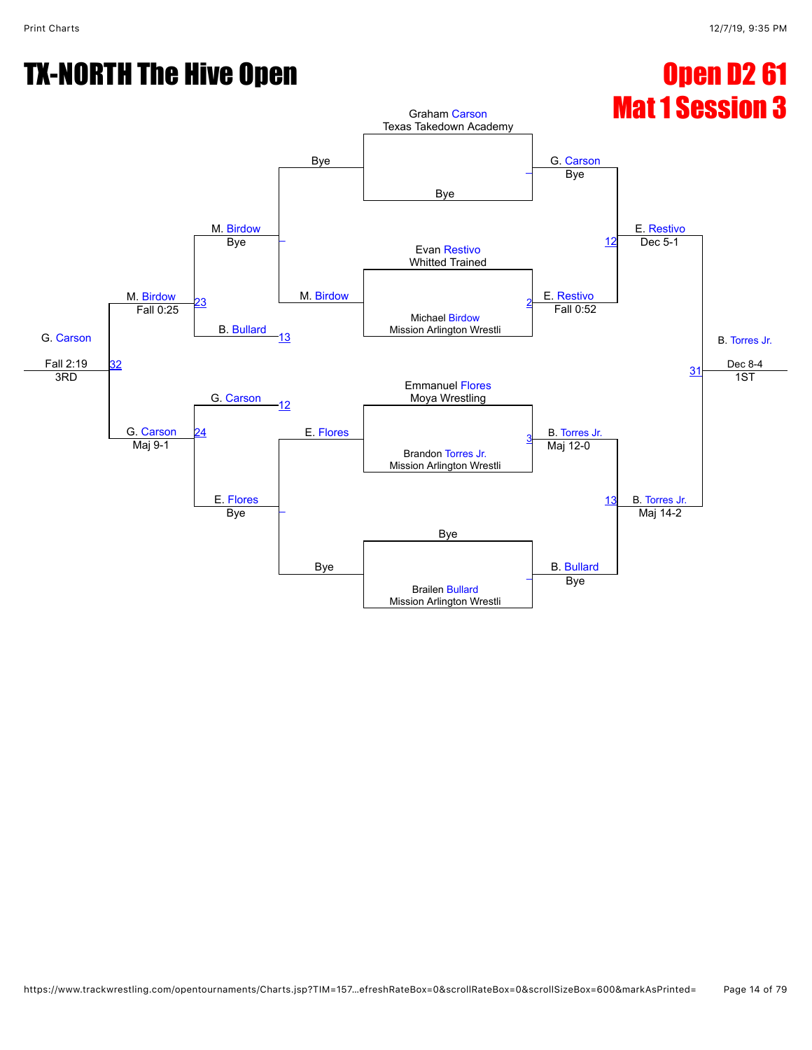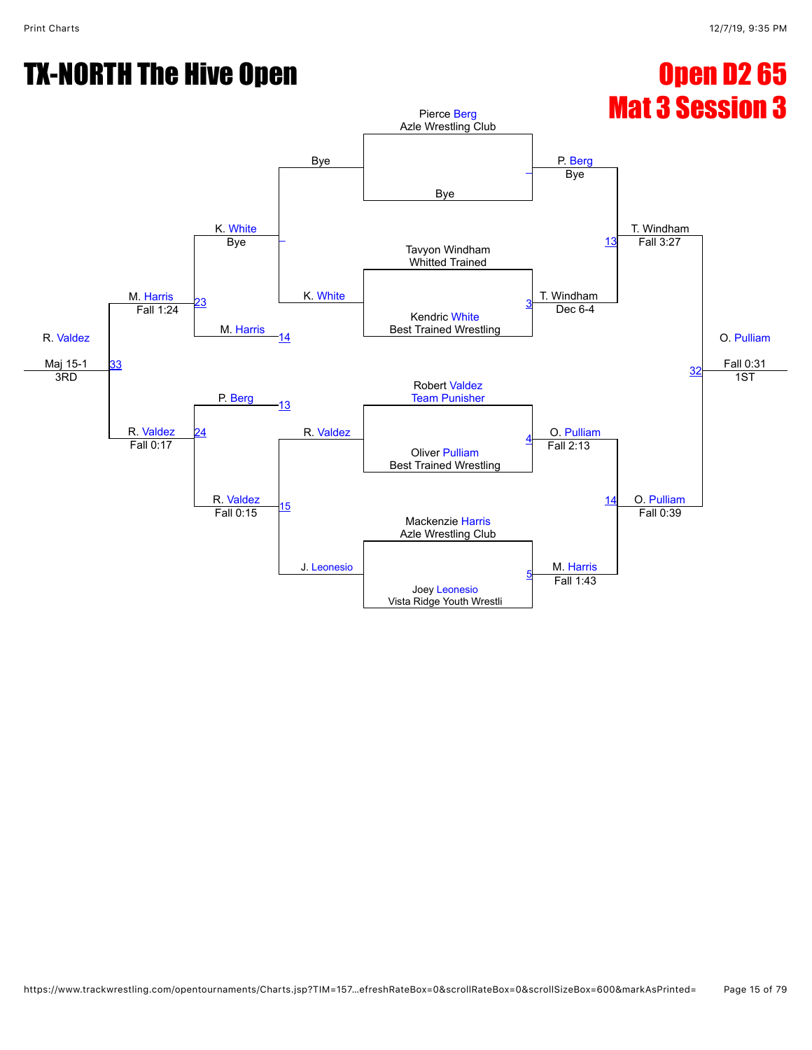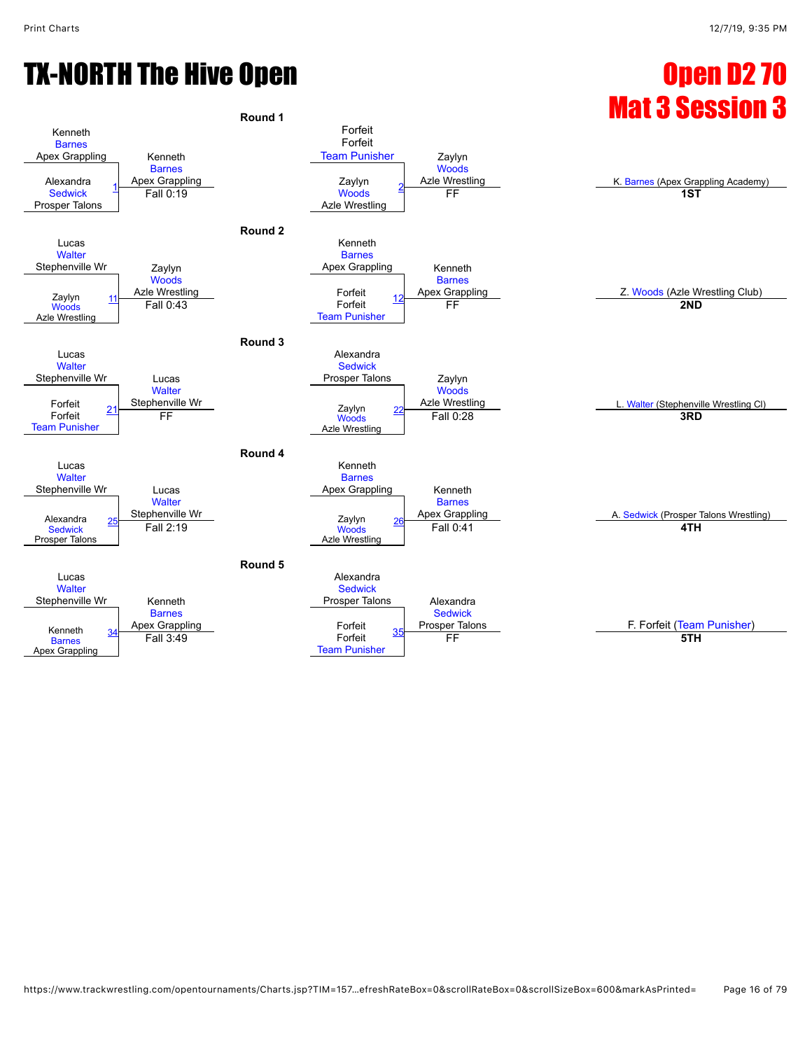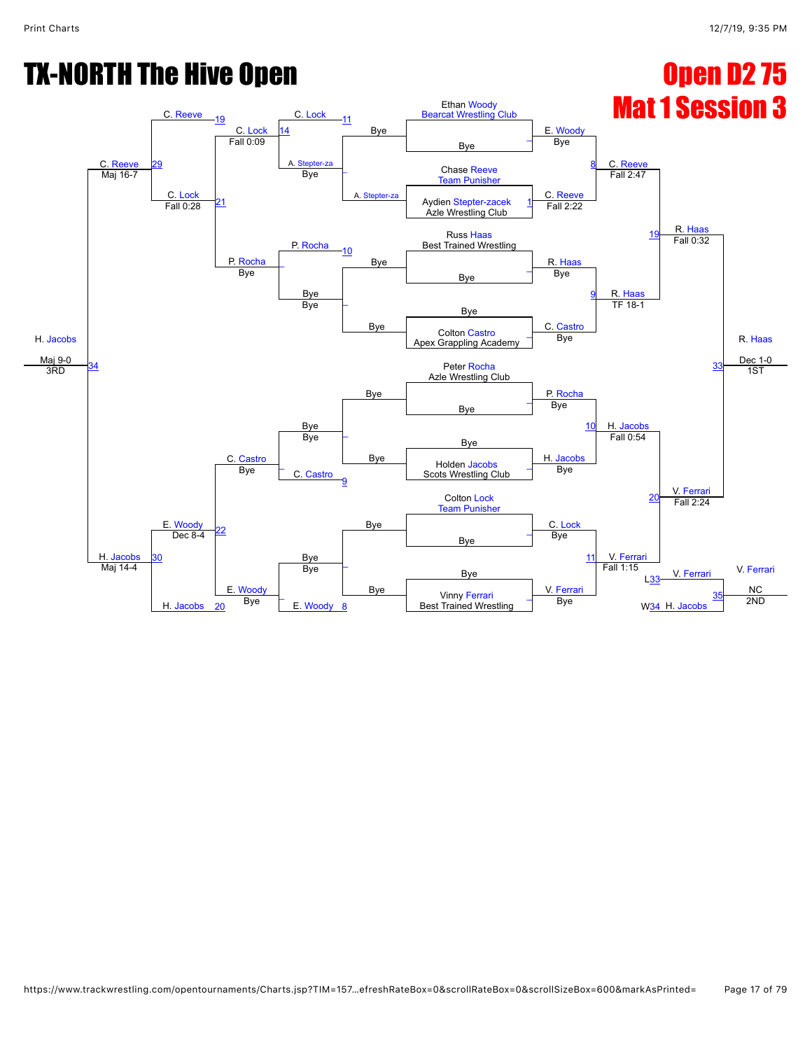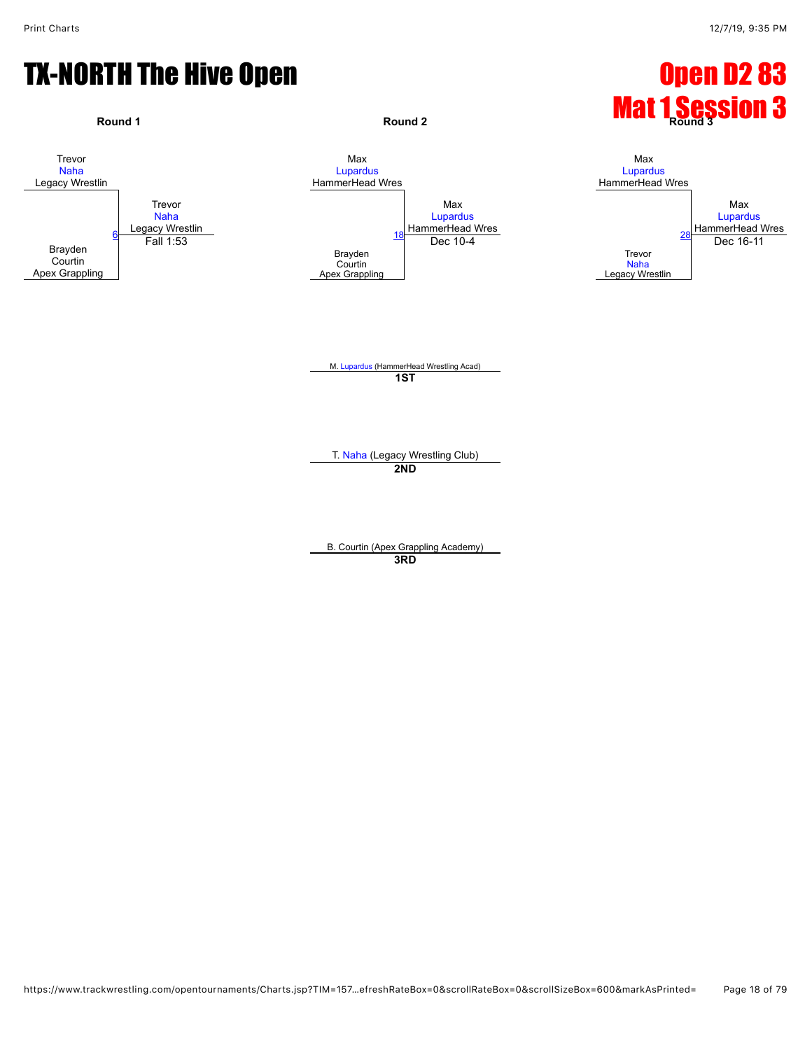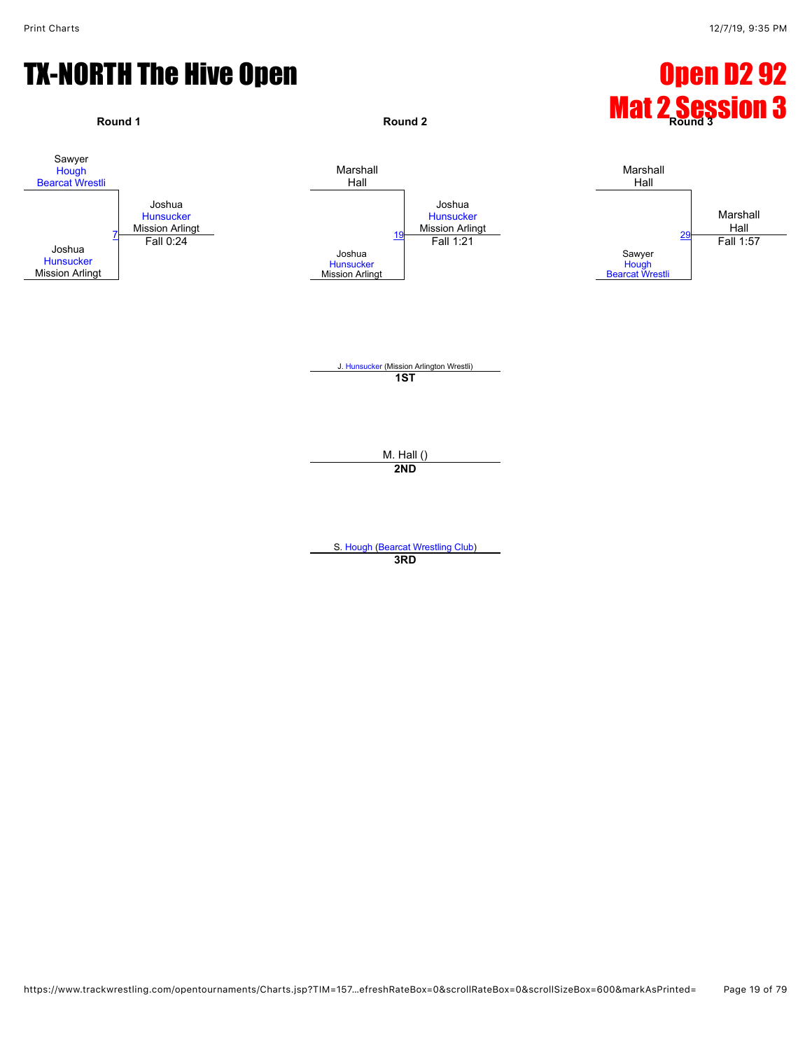

**3RD**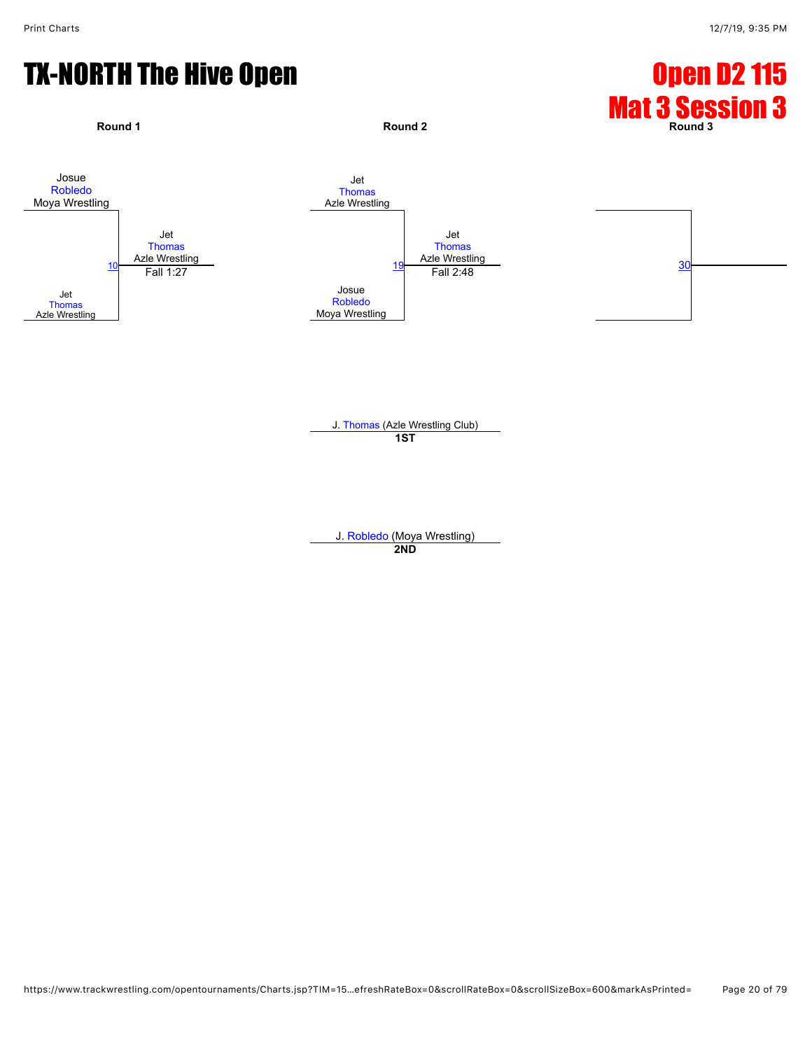

J. [Thomas](javascript:viewProfile(643271096)) (Azle Wrestling Club) **1ST**

J. [Robledo](javascript:viewProfile(1119600096)) (Moya Wrestling) **2ND**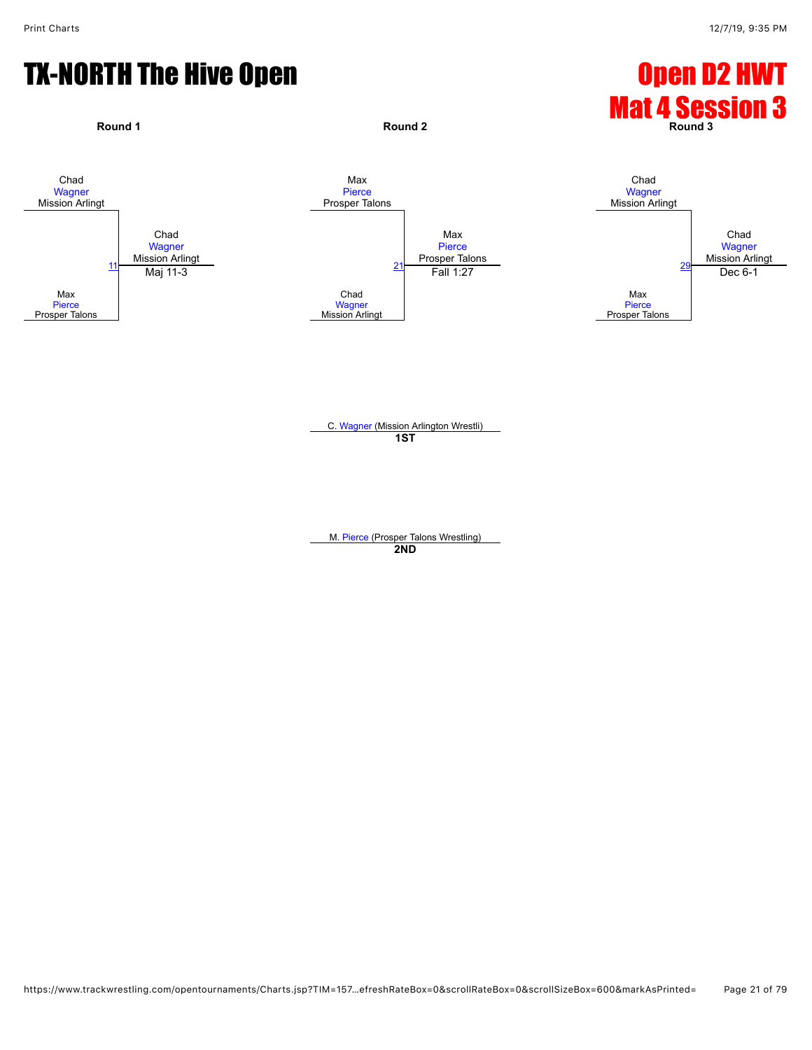

C. [Wagner](javascript:viewProfile(1293510096)) (Mission Arlington Wrestli) **1ST**

M. [Pierce](javascript:viewProfile(1298177132)) (Prosper Talons Wrestling) **2ND**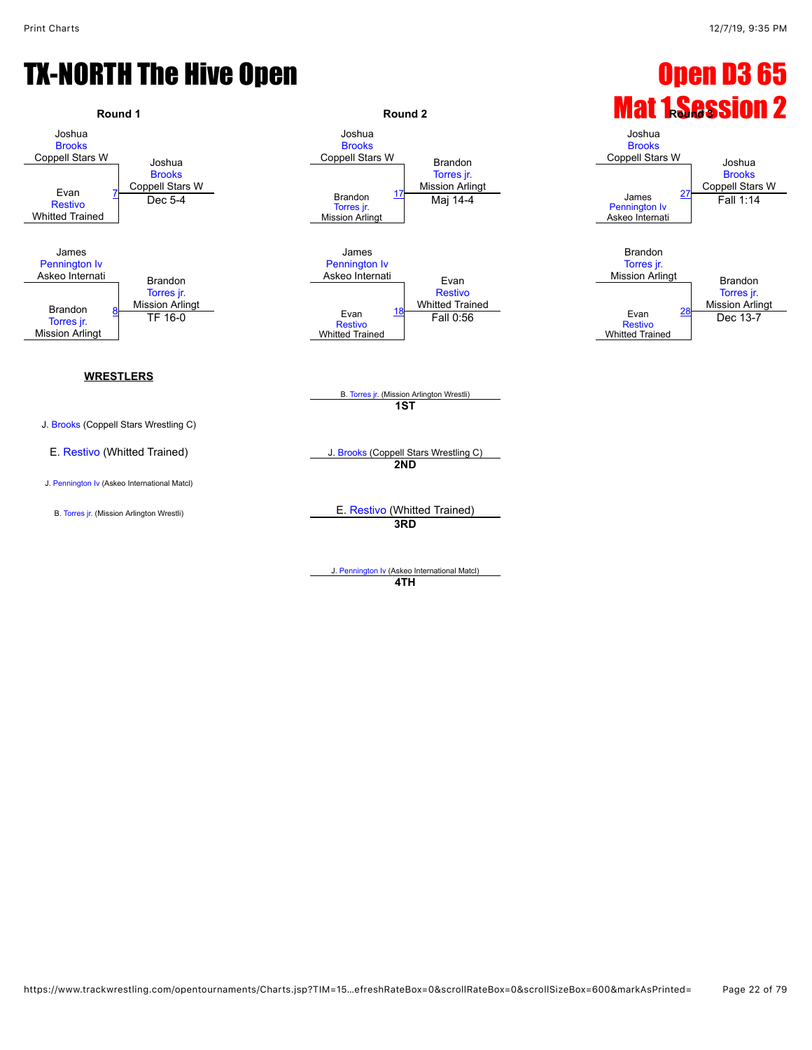

J. [Pennington Iv](javascript:viewProfile(1815307096)) (Askeo International Matcl) **4TH**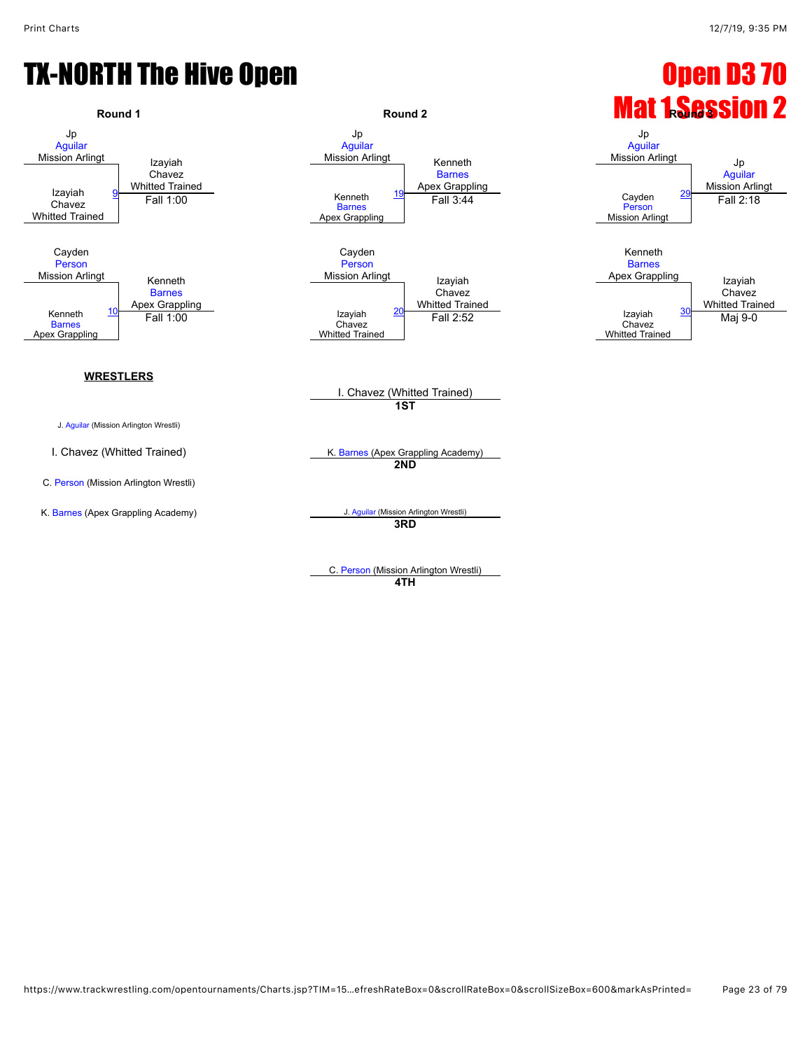

C. [Person](javascript:viewProfile(1191134096)) (Mission Arlington Wrestli) **4TH**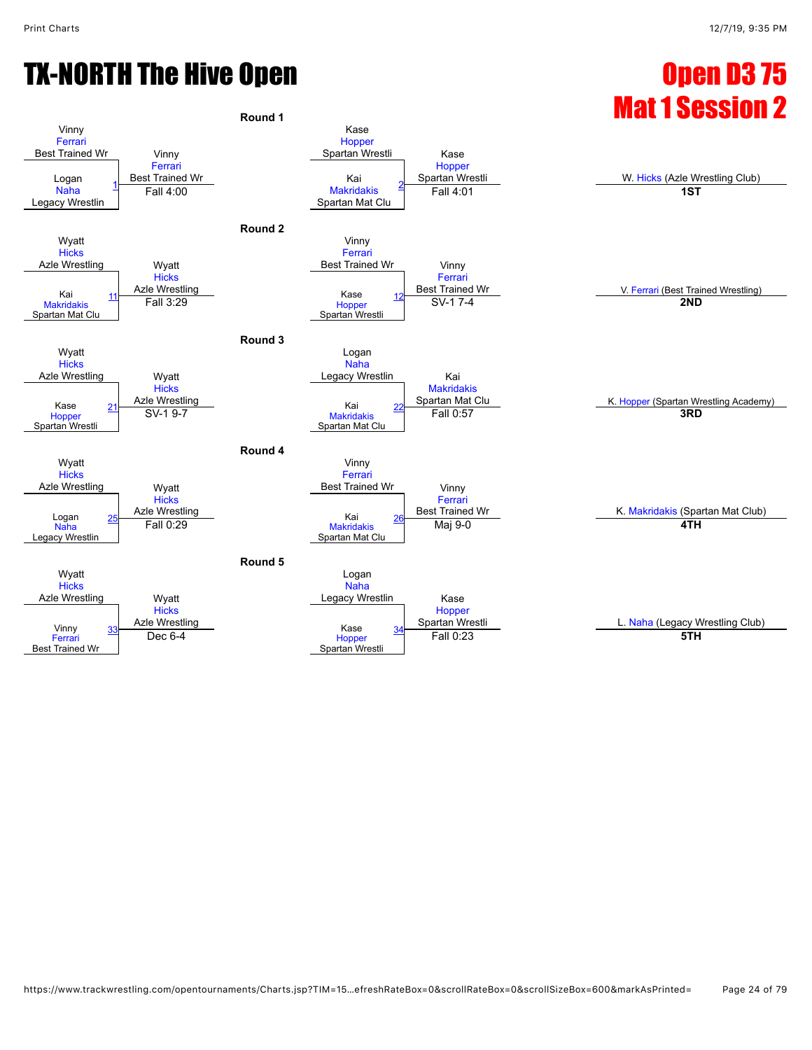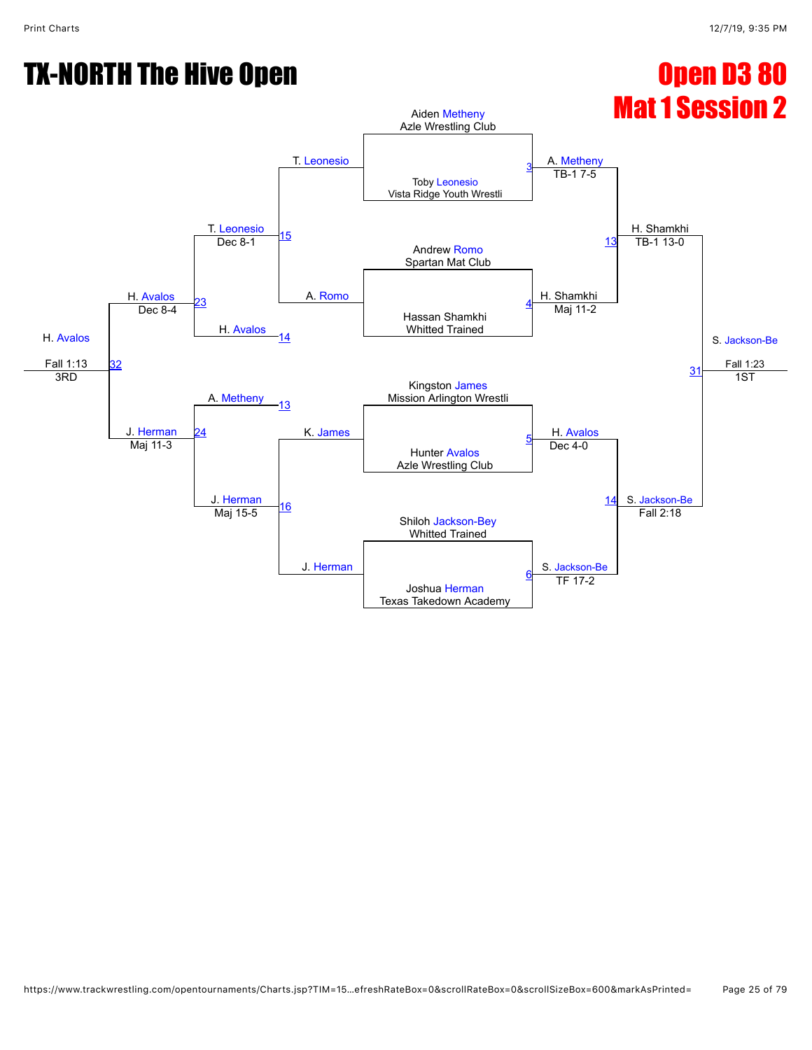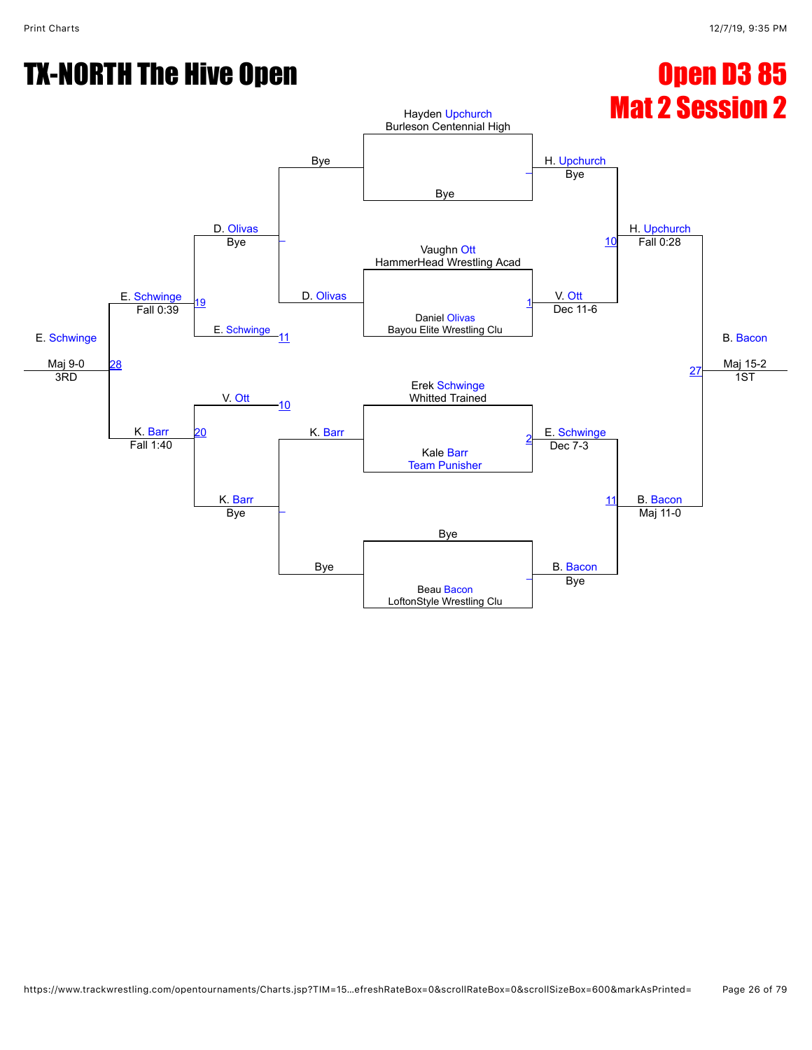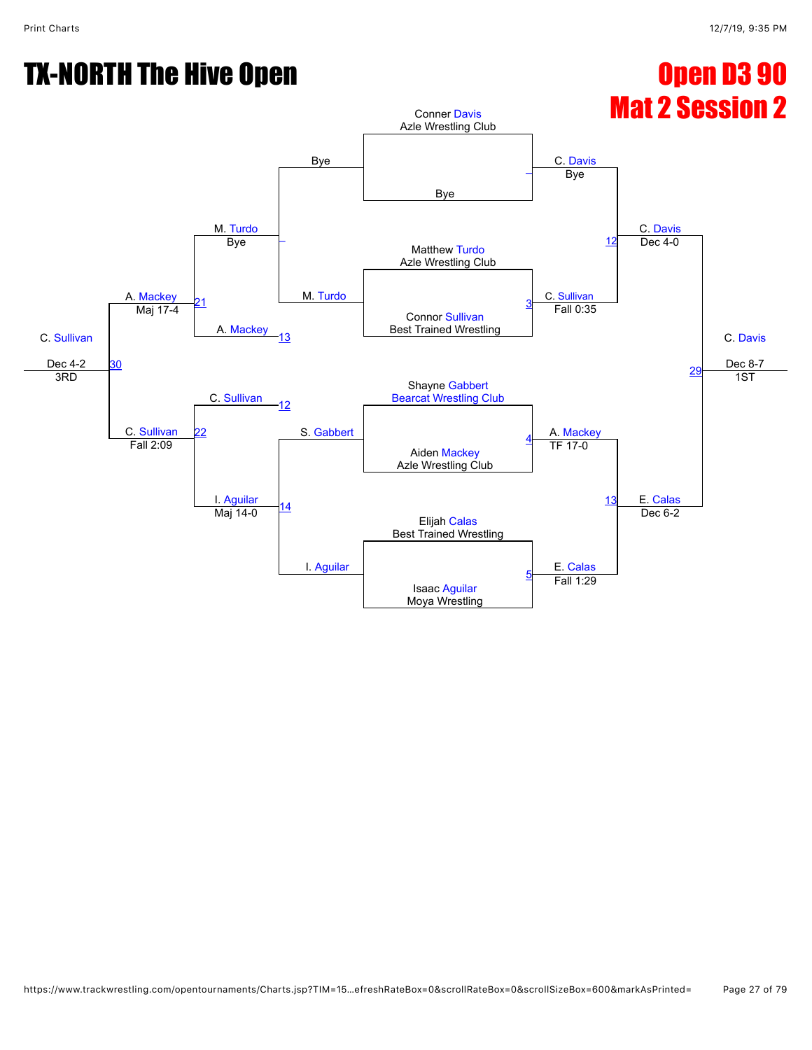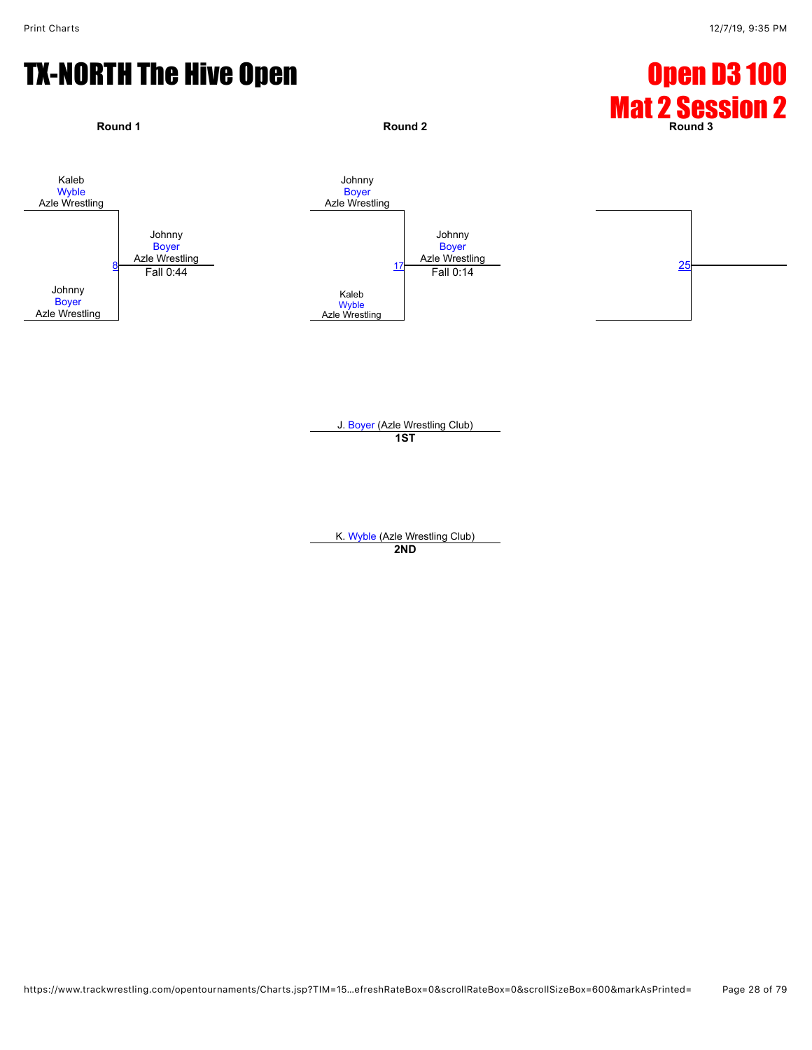

J. [Boyer](javascript:viewProfile(1891522096)) (Azle Wrestling Club) **1ST**

K. [Wyble](javascript:viewProfile(25993132)) (Azle Wrestling Club) **2ND**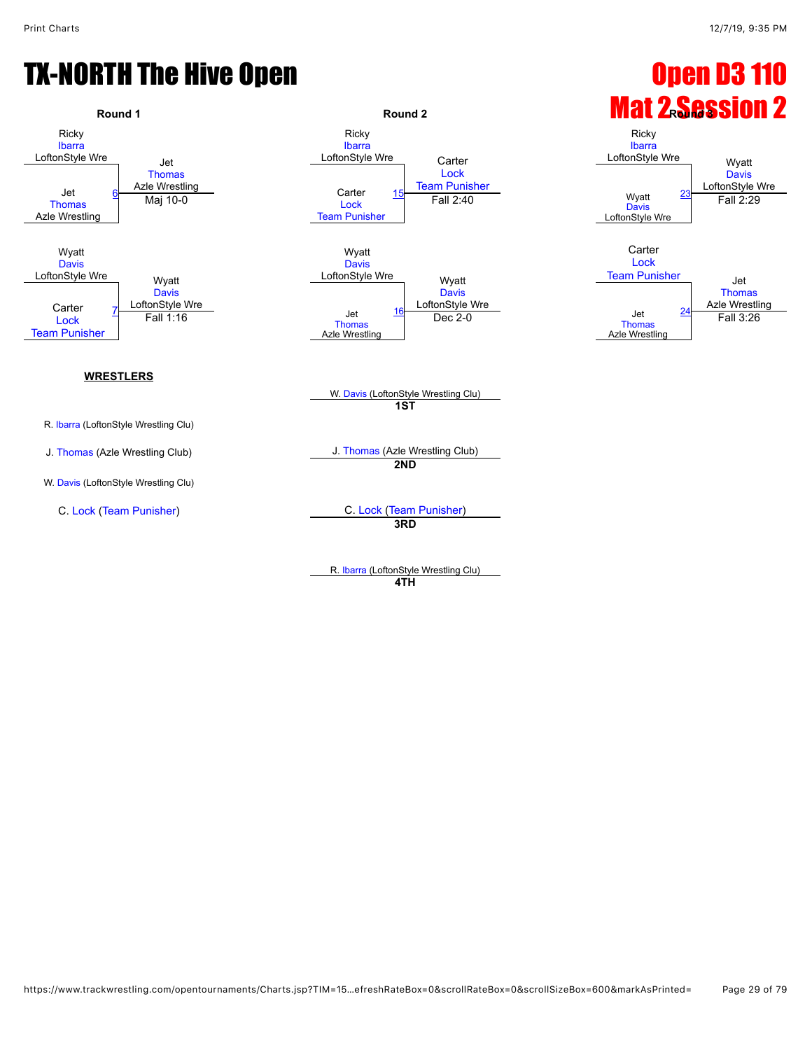[Davis](javascript:viewProfile(25338132))<br>LoftonStyle Wre

[Thomas](javascript:viewProfile(643271096))<br>Azle Wrestling

## TX-NORTH The Hive Open Open D3 110



R. [Ibarra](javascript:viewProfile(76321096)) (LoftonStyle Wrestling Clu) **4TH**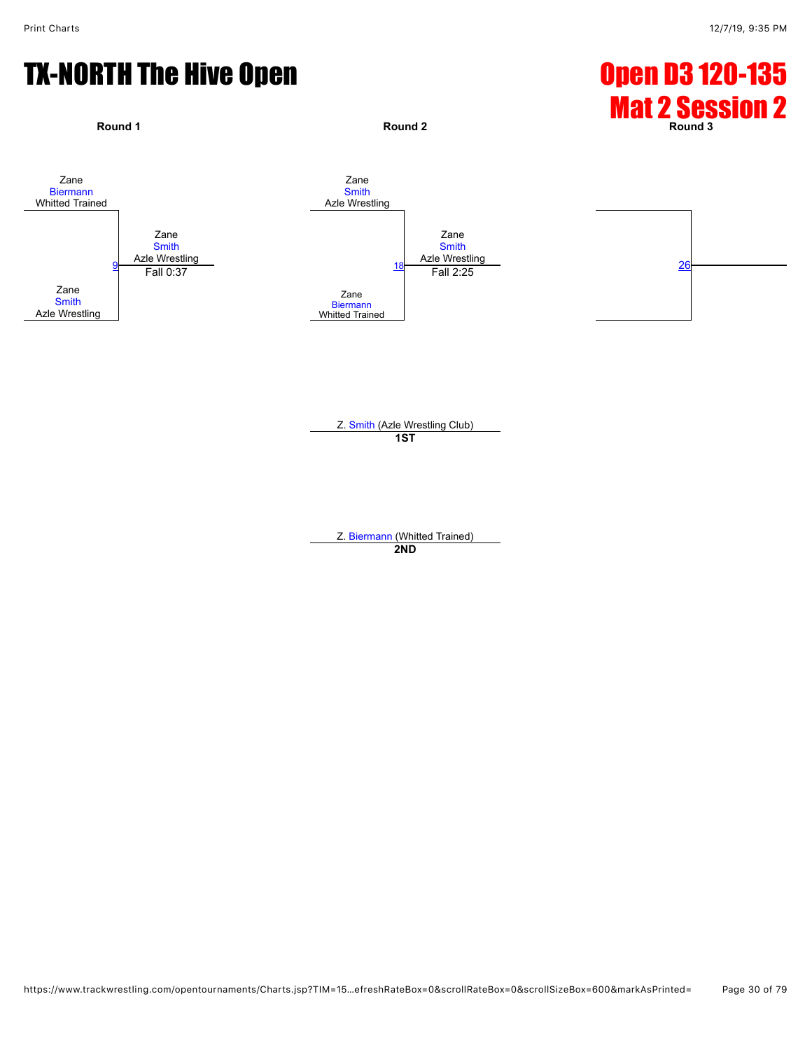

Z. [Smith](javascript:viewProfile(1086474096)) (Azle Wrestling Club) **1ST**

Z. [Biermann](javascript:viewProfile(1147357132)) (Whitted Trained) **2ND**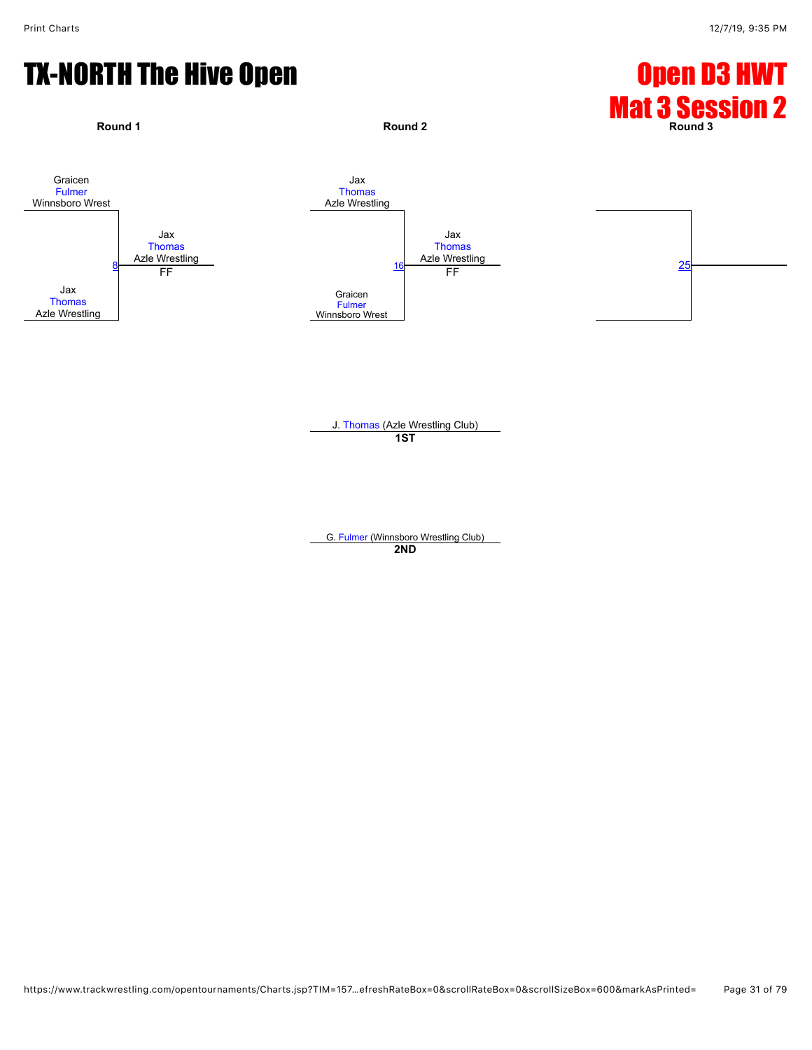

J. [Thomas](javascript:viewProfile(989512132)) (Azle Wrestling Club) **1ST**

G. [Fulmer](javascript:viewProfile(649411096)) (Winnsboro Wrestling Club) **2ND**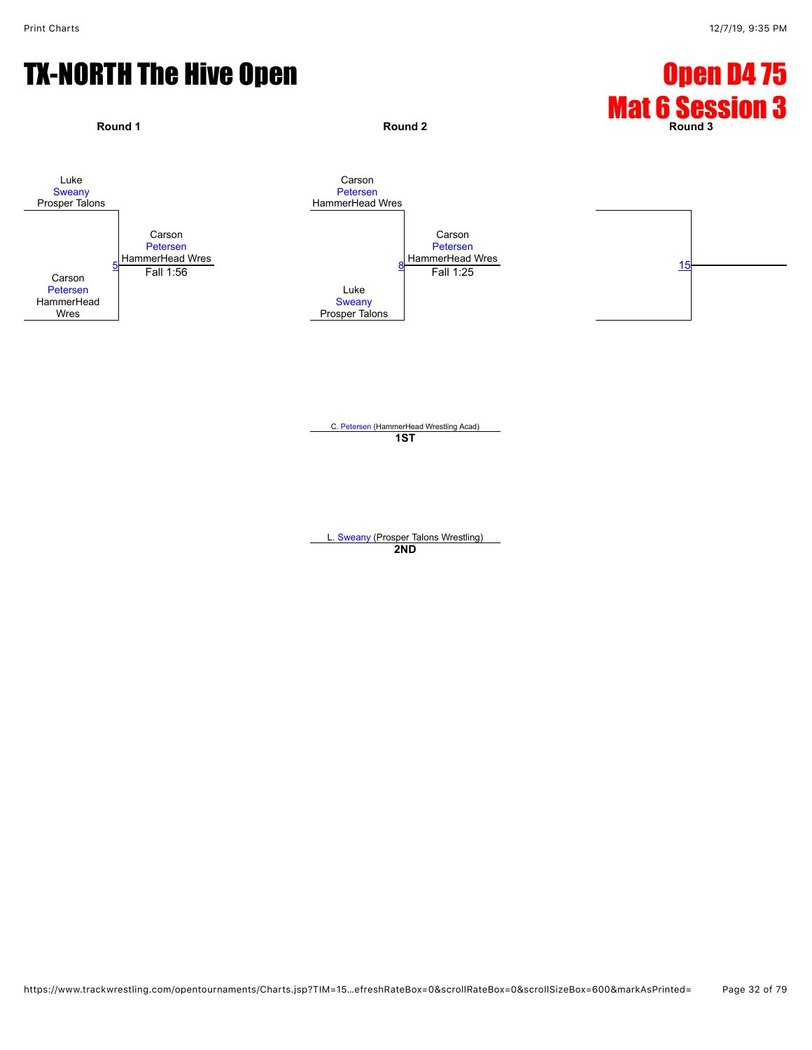

C. [Petersen](javascript:viewProfile(24007132)) (HammerHead Wrestling Acad) **1ST**

L. [Sweany](javascript:viewProfile(107117096)) (Prosper Talons Wrestling) **2ND**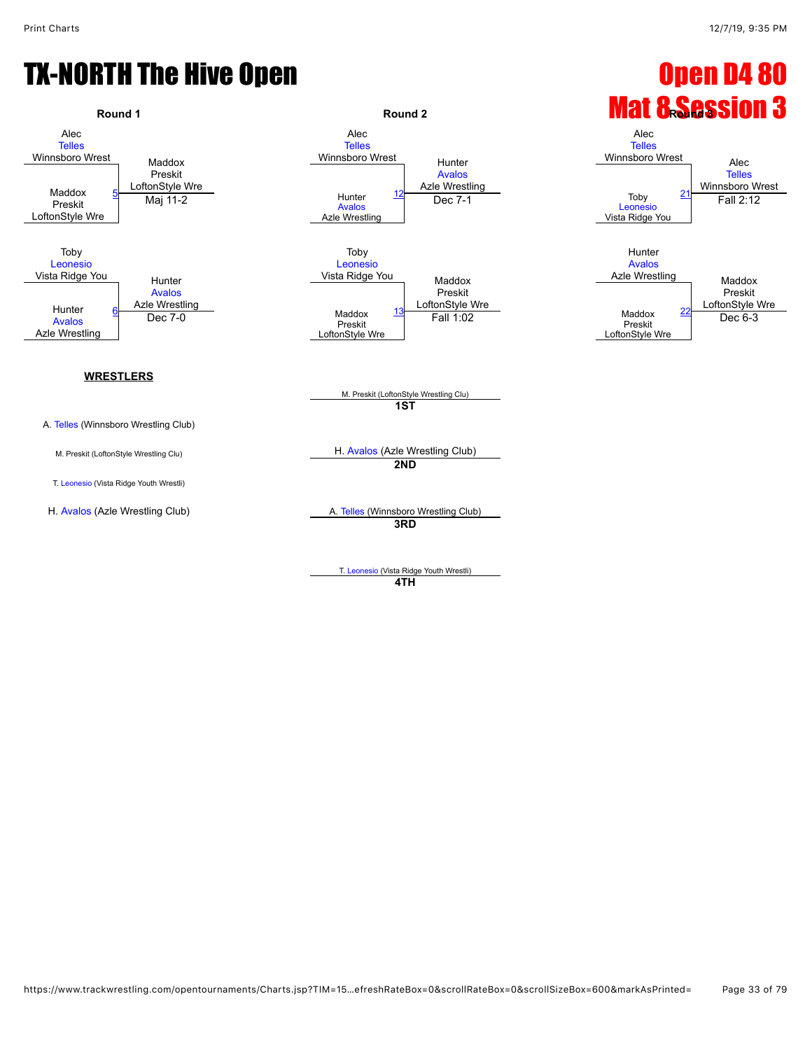

T. [Leonesio](javascript:viewProfile(1166806096)) (Vista Ridge Youth Wrestli) **4TH**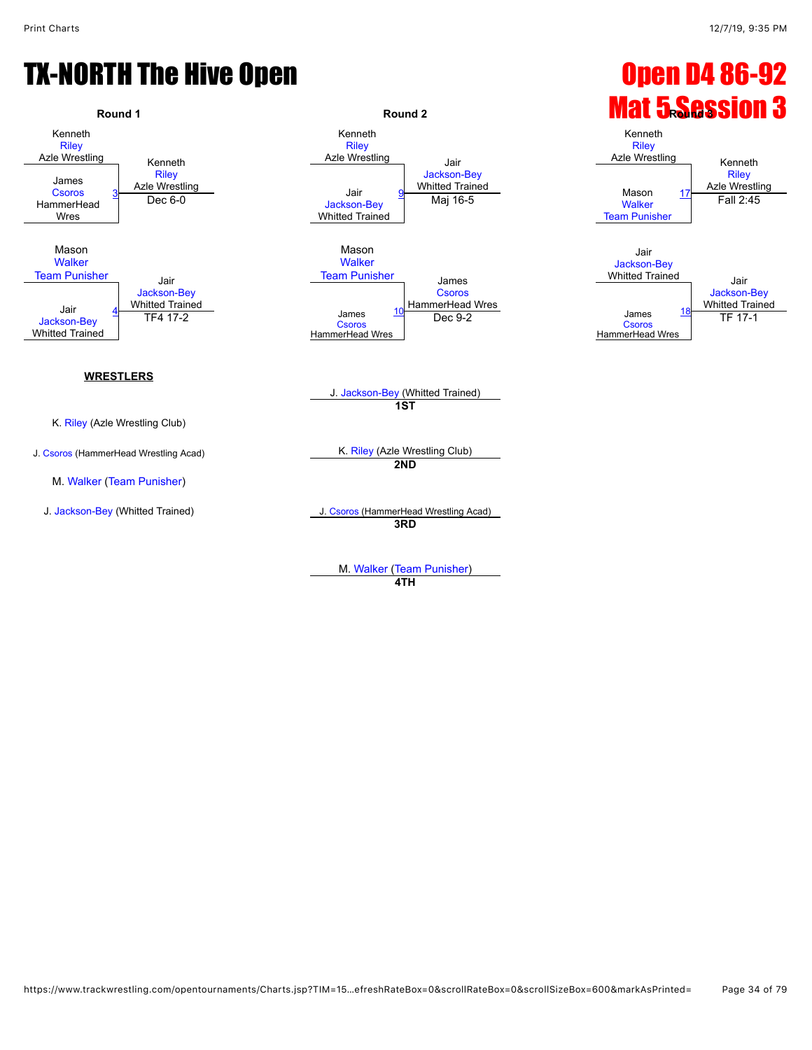## TX-NORTH The Hive Open **Department Control** Control Control Control Control Control Control Control Control Control Control Control Control Control Control Control Control Control Control Control Control Control Control Co



M. [Walker](javascript:viewProfile(631474096)) ([Team Punisher](javascript:viewClub(232076)))

Azle Wrestling Jair [Jackson-Bey](javascript:viewProfile(42183076)) Whitted Trained <u>litted Trained</u><br>Mai 16-5 Mason National Material Medicine [Team Punisher](javascript:viewClub(232076)) James [Csoros](javascript:viewProfile(1836845096)) HammerHead Wres



J. [Jackson-Bey](javascript:viewProfile(42183076)) (Whitted Trained) **1ST**

**2ND**

J. [Jackson-Bey](javascript:viewProfile(42183076)) (Whitted Trained) J. [Csoros](javascript:viewProfile(1836845096)) (HammerHead Wrestling Acad) **3RD**

> M. [Walker](javascript:viewProfile(631474096)) ([Team Punisher](javascript:viewClub(232076))) **4TH**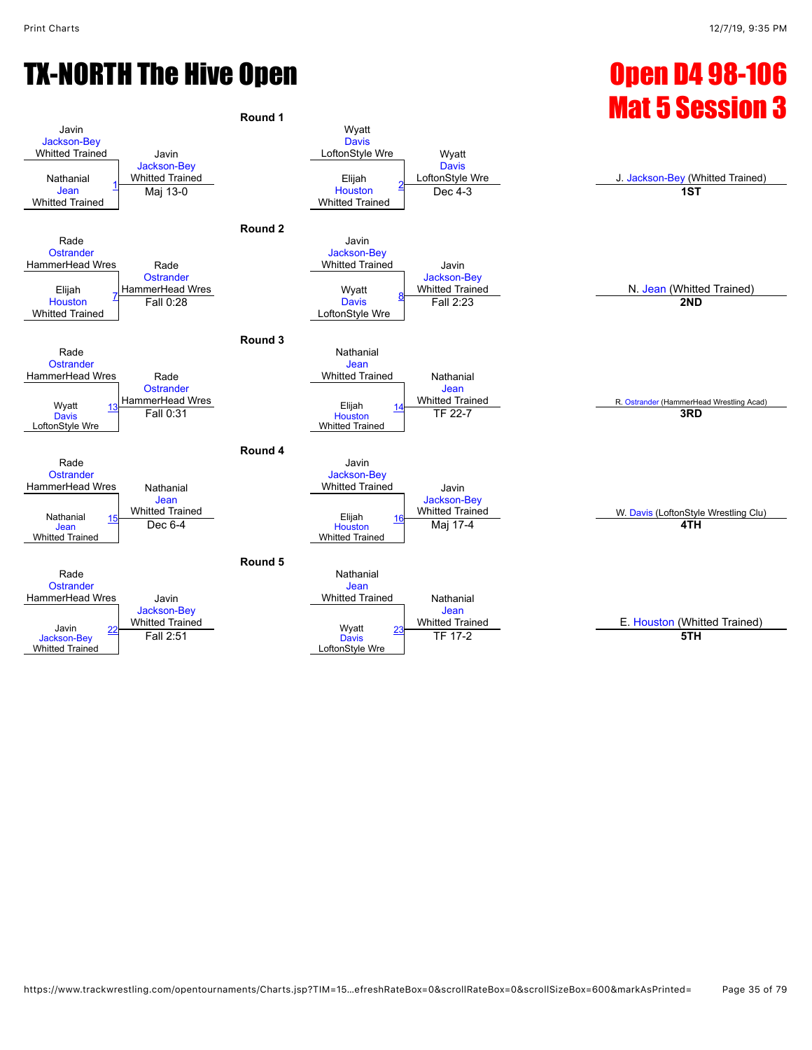## TX-NORTH The Hive Open **Canadian Company of Canadian Control** Control Open D4 98-106

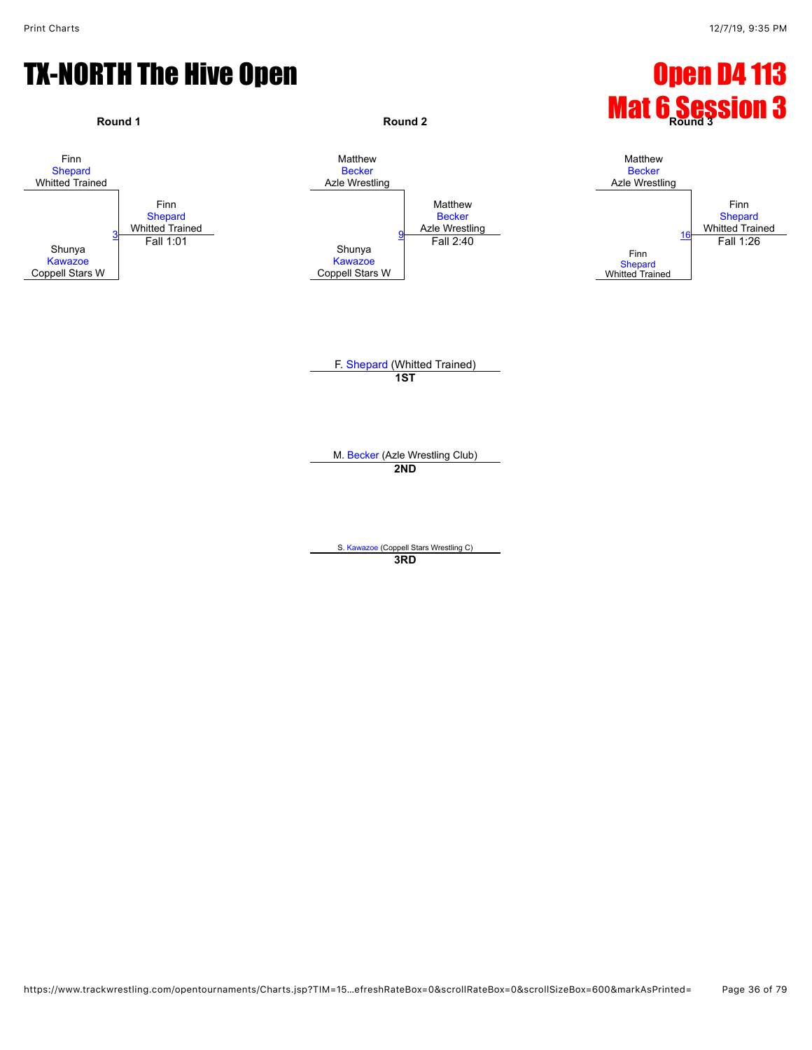#### TX-NORTH The Hive Open **Department of the Contract of Contract Contract Open D4 113**



**3RD**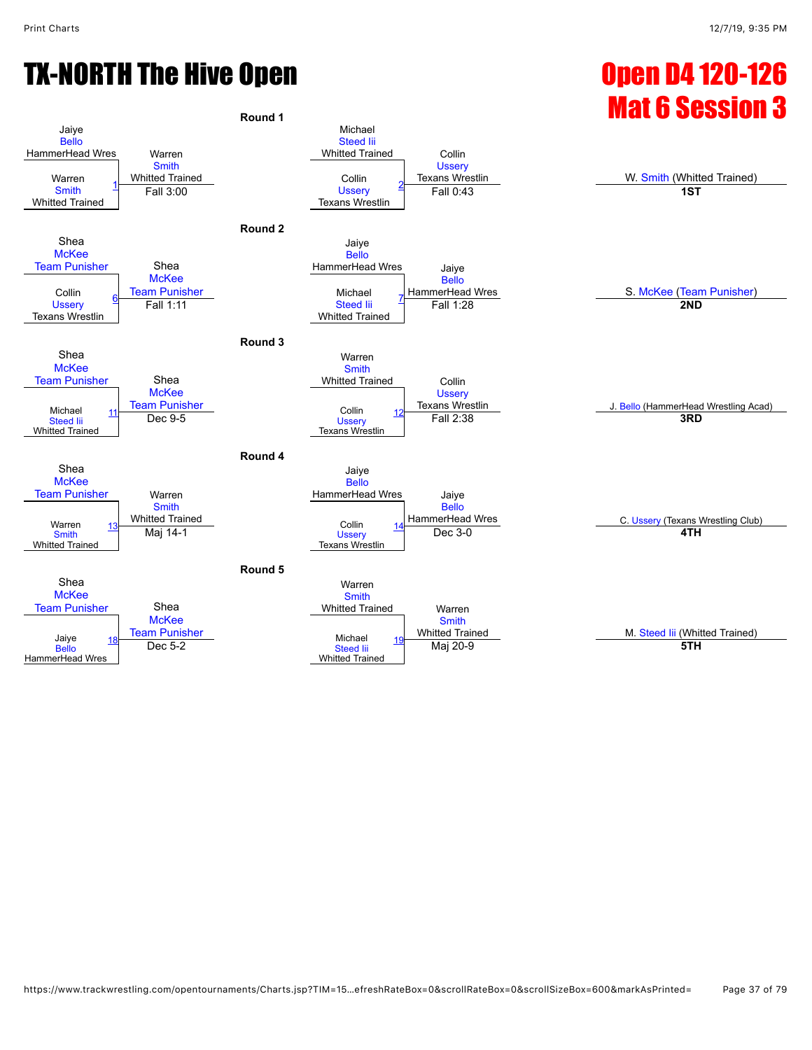# TX-NORTH The Hive Open **Canadian Control Control Control Control Control Control Control Control Control Control Control Control Control Control Control Control Control Control Control Control Control Control Control Contr**

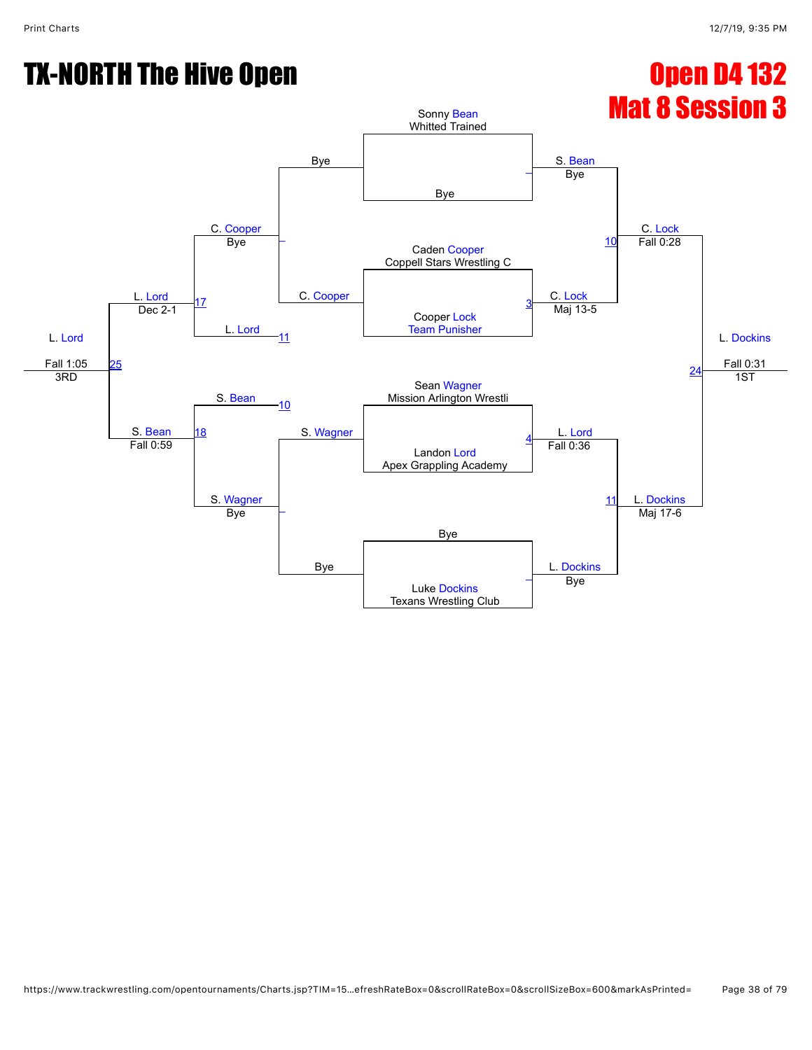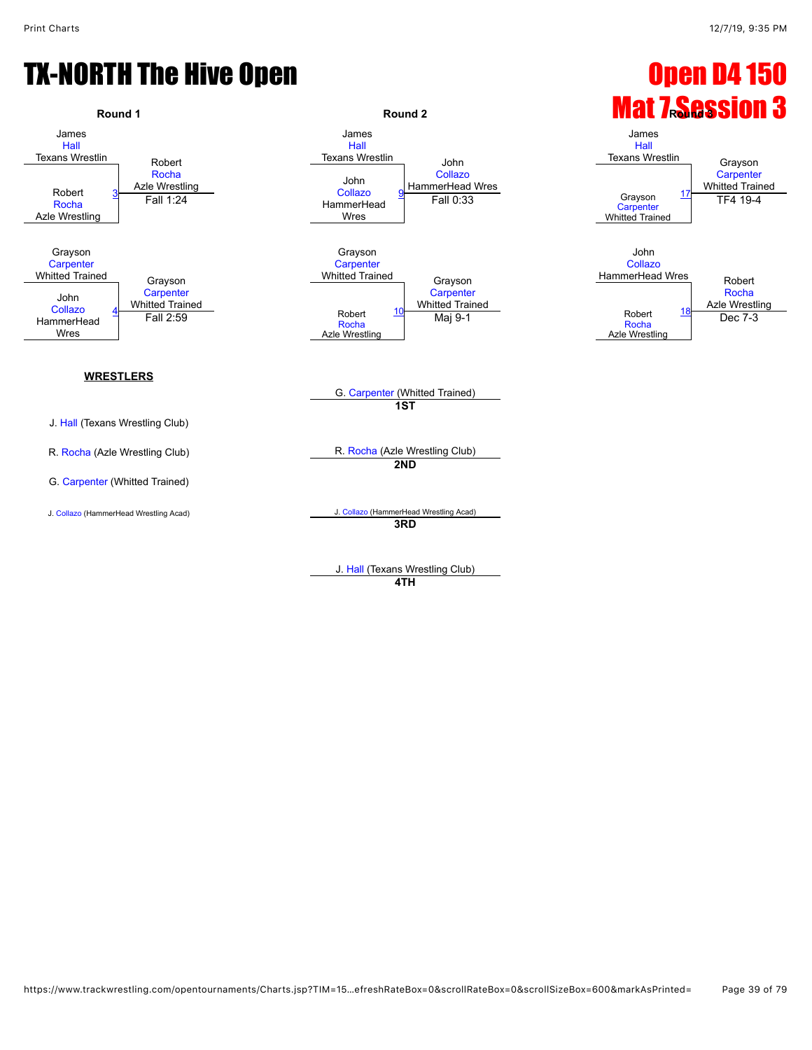

**4TH**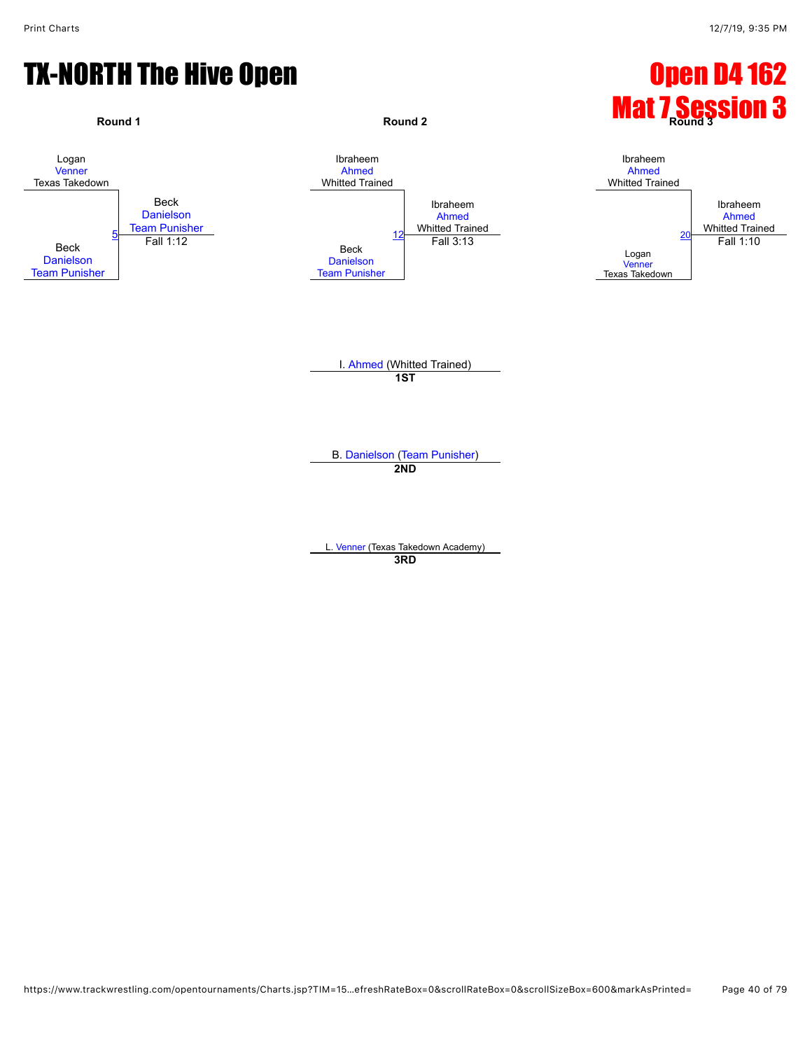

**3RD**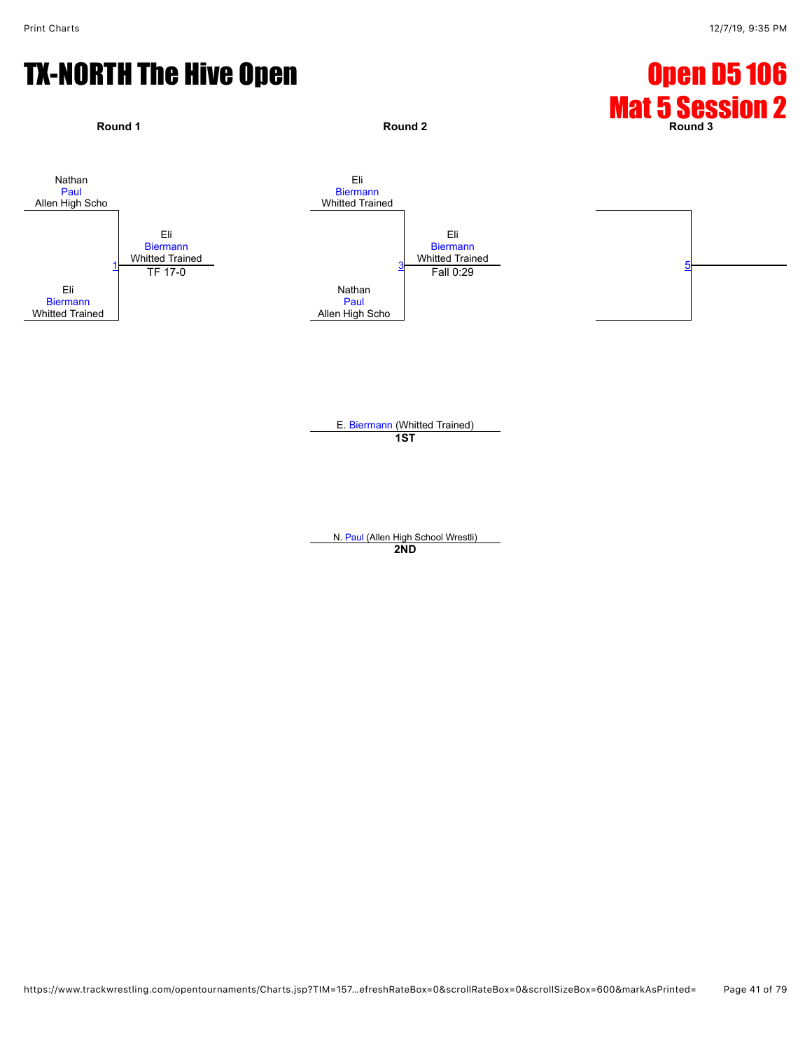

E. [Biermann](javascript:viewProfile(559182009)) (Whitted Trained) **1ST**

N. [Paul](javascript:viewProfile(187201135)) (Allen High School Wrestli) **2ND**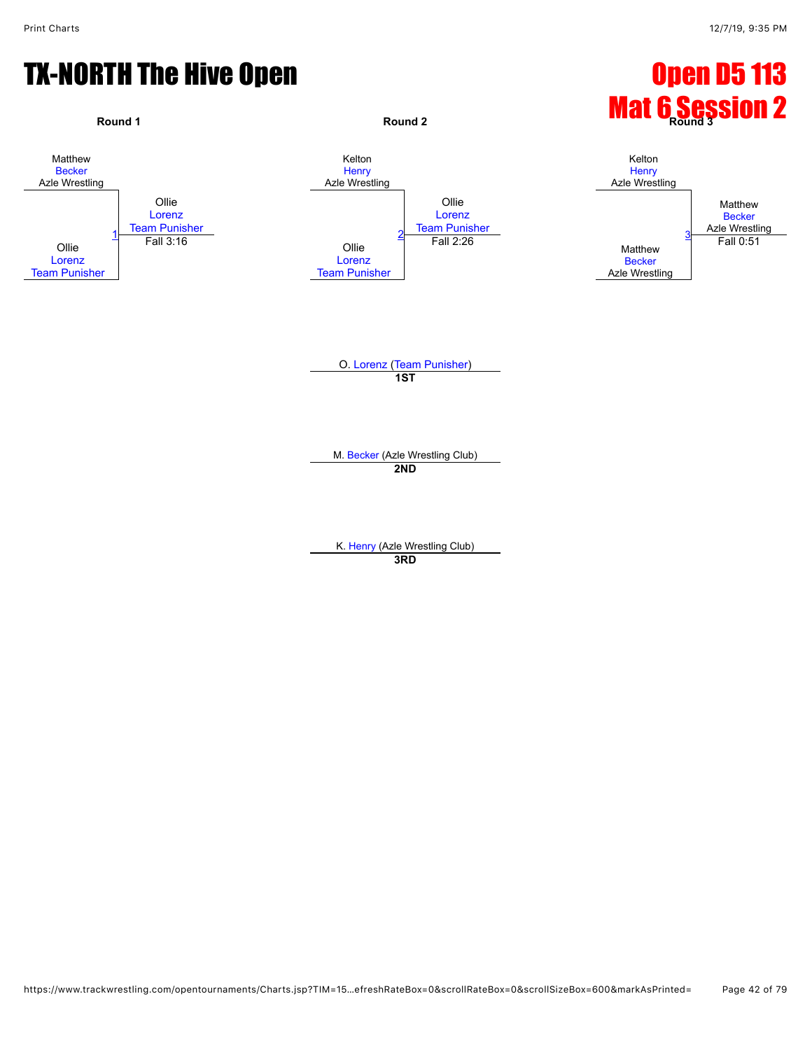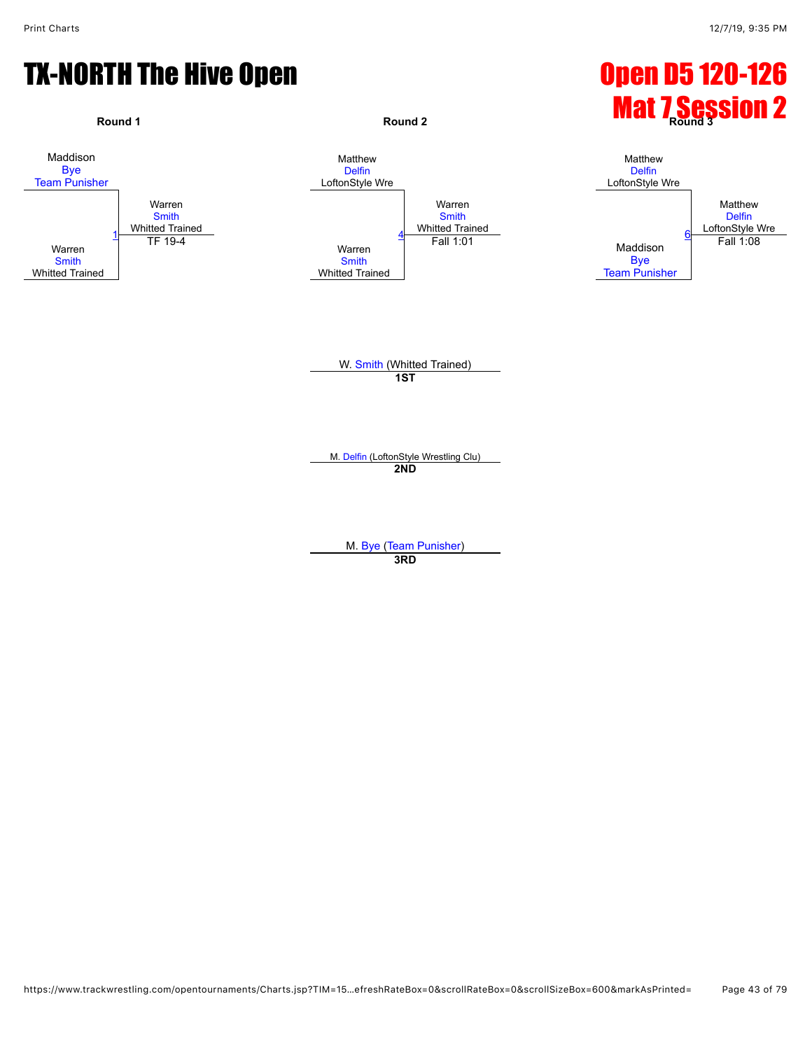

M. [Delfin](javascript:viewProfile(721310096)) (LoftonStyle Wrestling Clu) **2ND**

M. [Bye](javascript:viewProfile(1104910009)) [\(Team Punisher\)](javascript:viewClub(232076)) **3RD**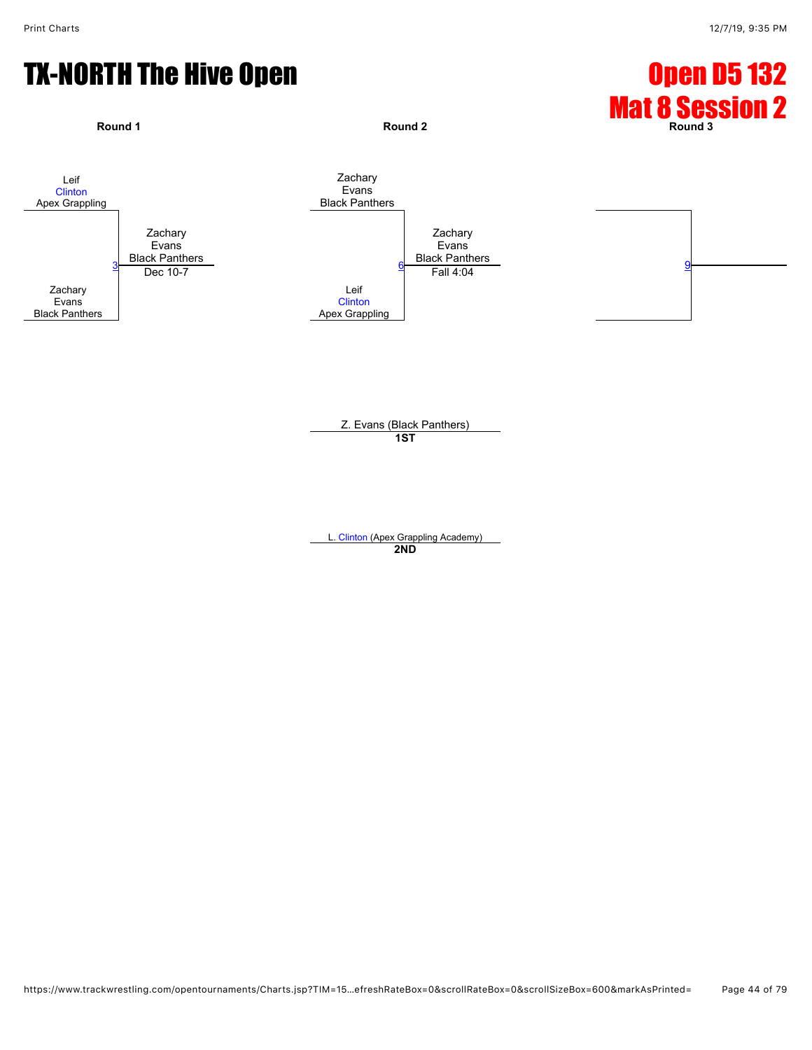

Z. Evans (Black Panthers) **1ST**

L. [Clinton](javascript:viewProfile(92978135)) (Apex Grappling Academy) **2ND**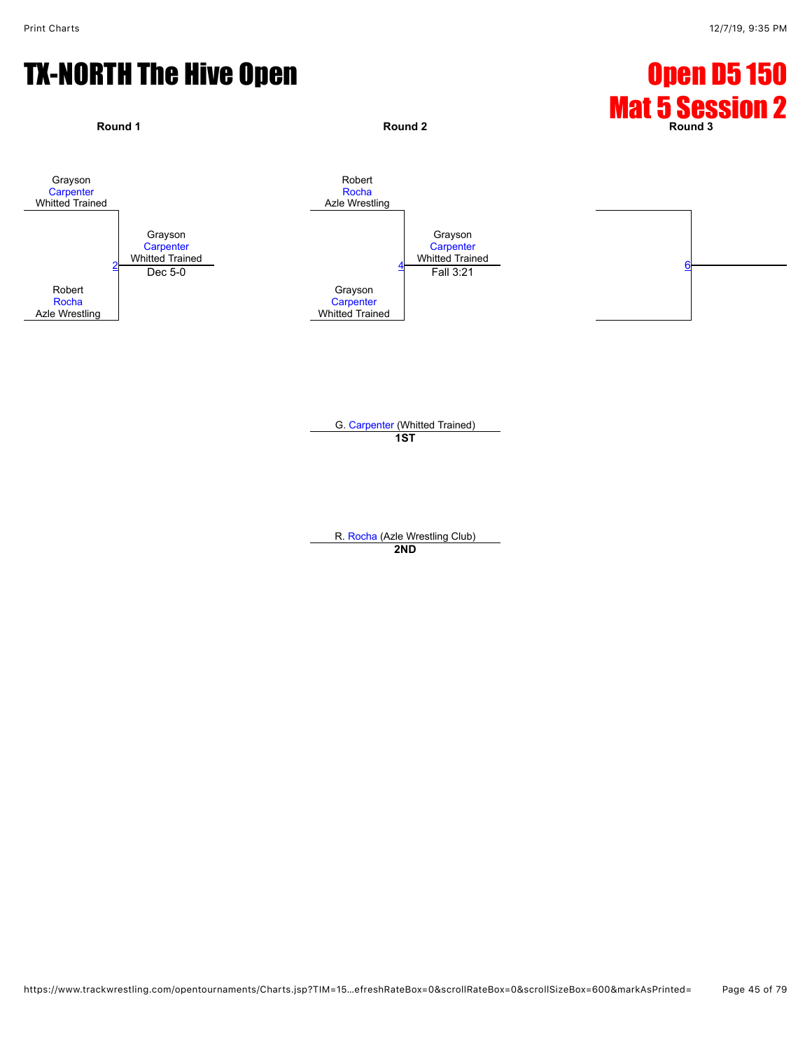

G. [Carpenter](javascript:viewProfile(1771041009)) (Whitted Trained) **1ST**

R. [Rocha](javascript:viewProfile(25998132)) (Azle Wrestling Club) **2ND**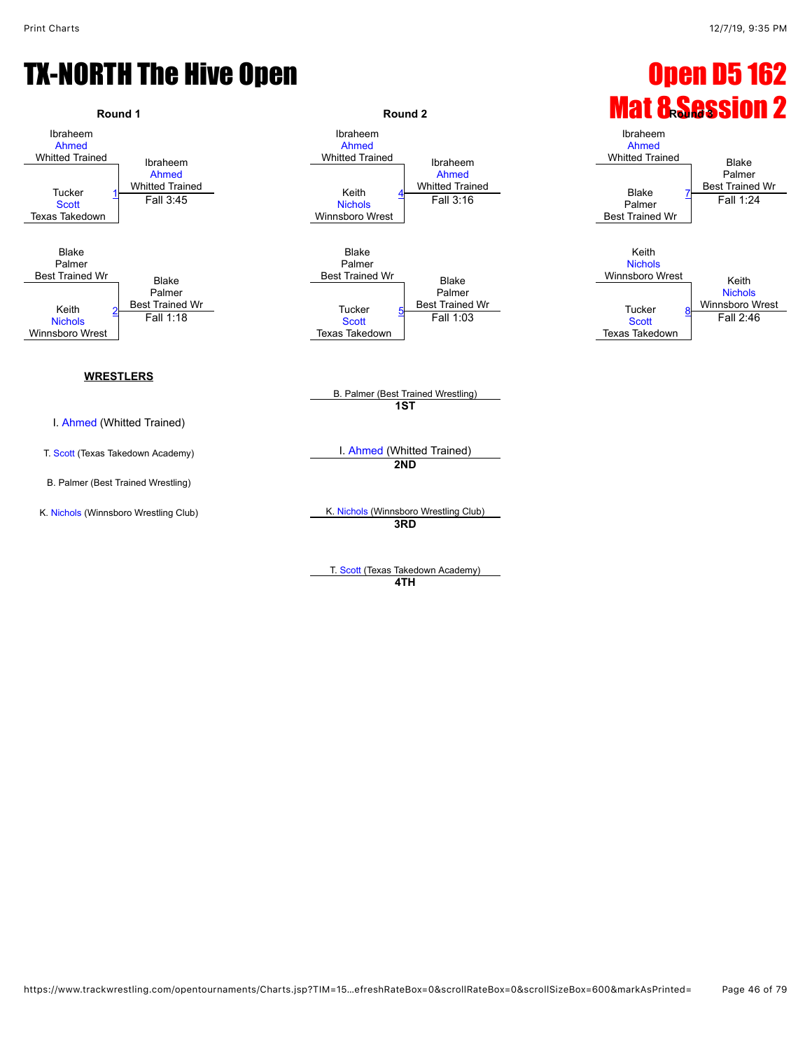

**4TH**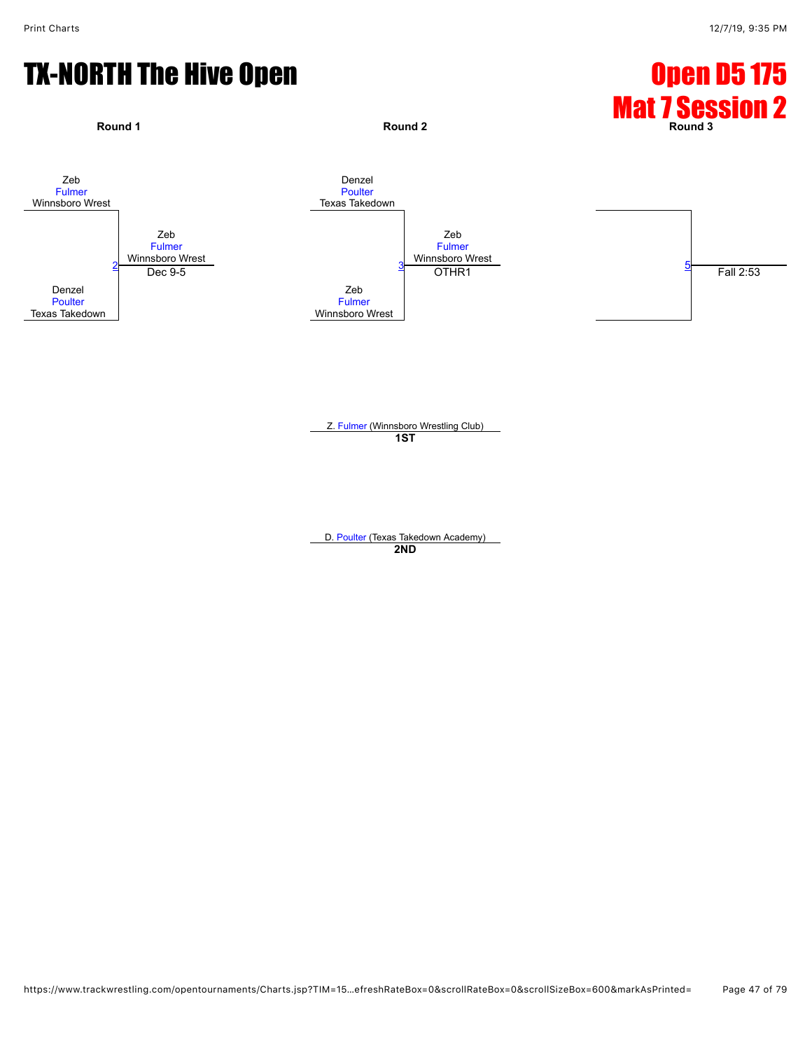

Z. [Fulmer](javascript:viewProfile(649391096)) (Winnsboro Wrestling Club) **1ST**

D. [Poulter](javascript:viewProfile(185523135)) (Texas Takedown Academy) **2ND**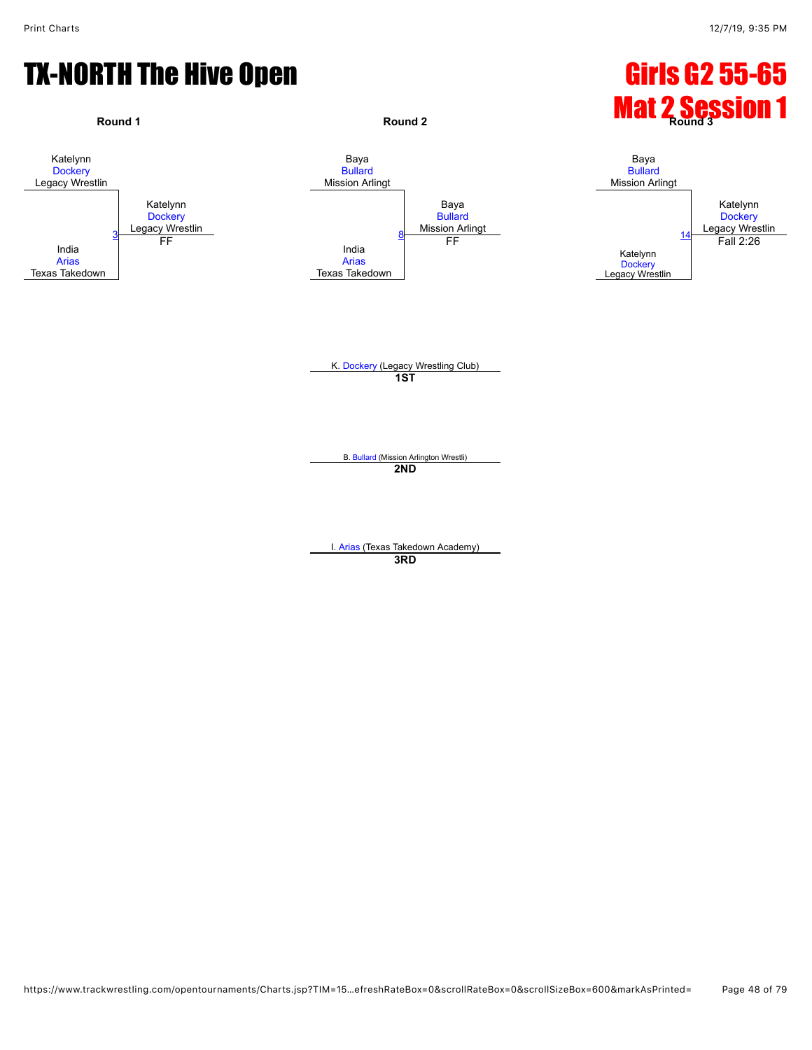# TX-NORTH The Hive Open Girls G2 55-65



**3RD**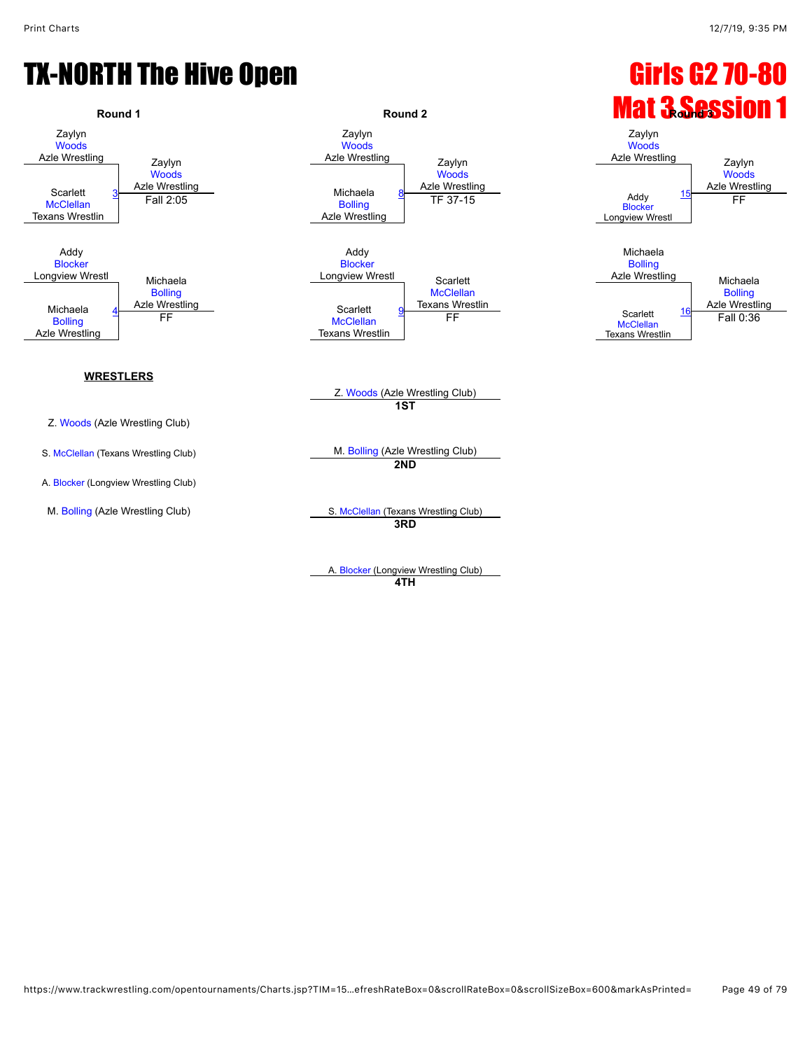[Woods](javascript:viewProfile(23176135))<br>Azle Wrestling

**[Bolling](javascript:viewProfile(91566135))**<br>Azle Wrestling

Zaylyn [Woods](javascript:viewProfile(23176135))

[Bolling](javascript:viewProfile(91566135))

## TX-NORTH The Hive Open Girls G2 70-80



A. [Blocker](javascript:viewProfile(66327135)) (Longview Wrestling Club) **4TH**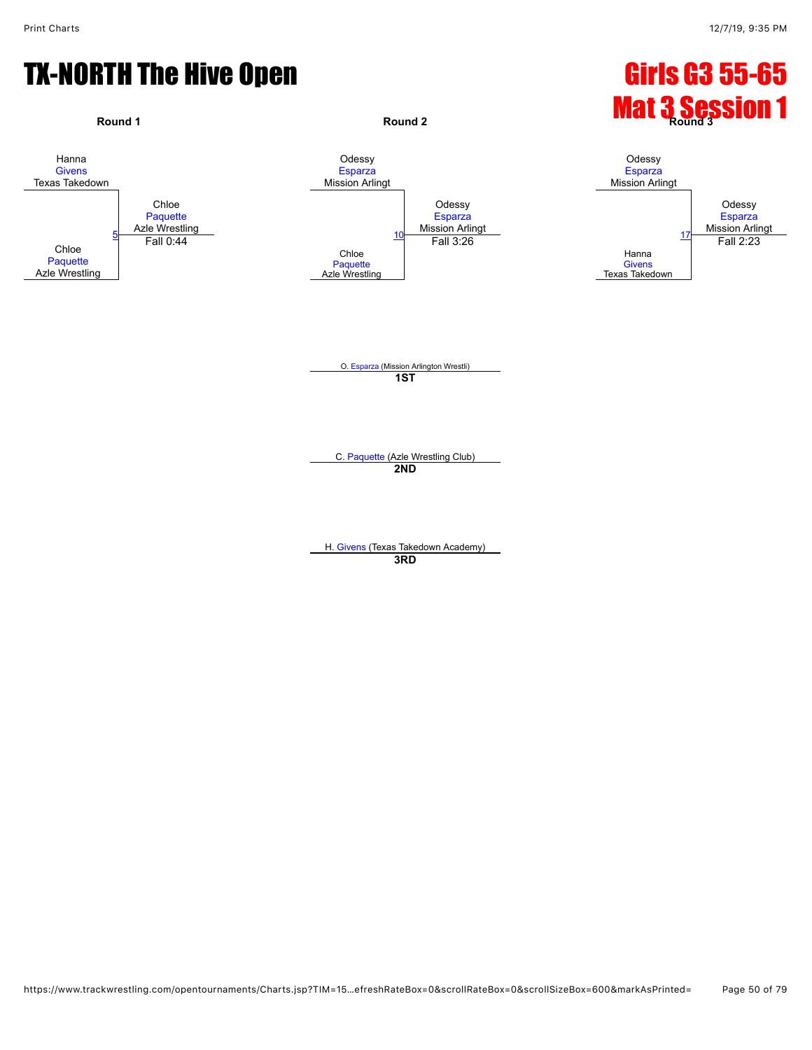# TX-NORTH The Hive Open Girls G3 55-65

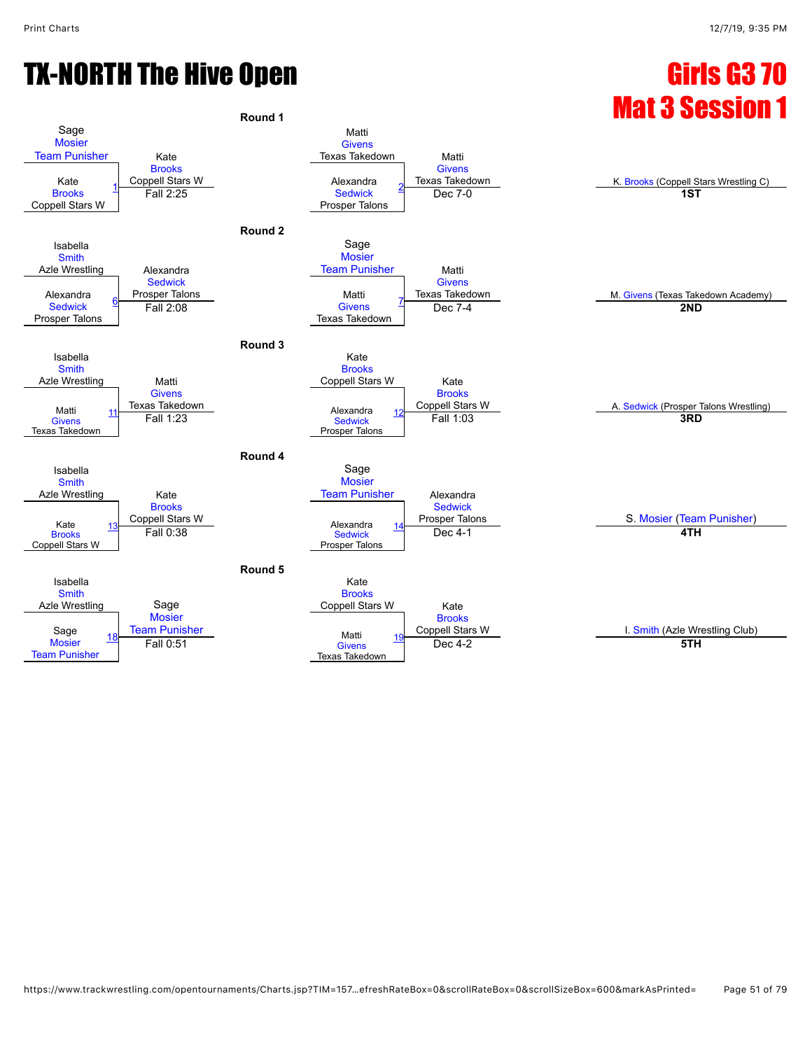# TX-NORTH The Hive Open Gastro Gastro Gastro Gastro Gastro Gastro Gastro Gastro Gastro Gastro Gastro Gastro Gas

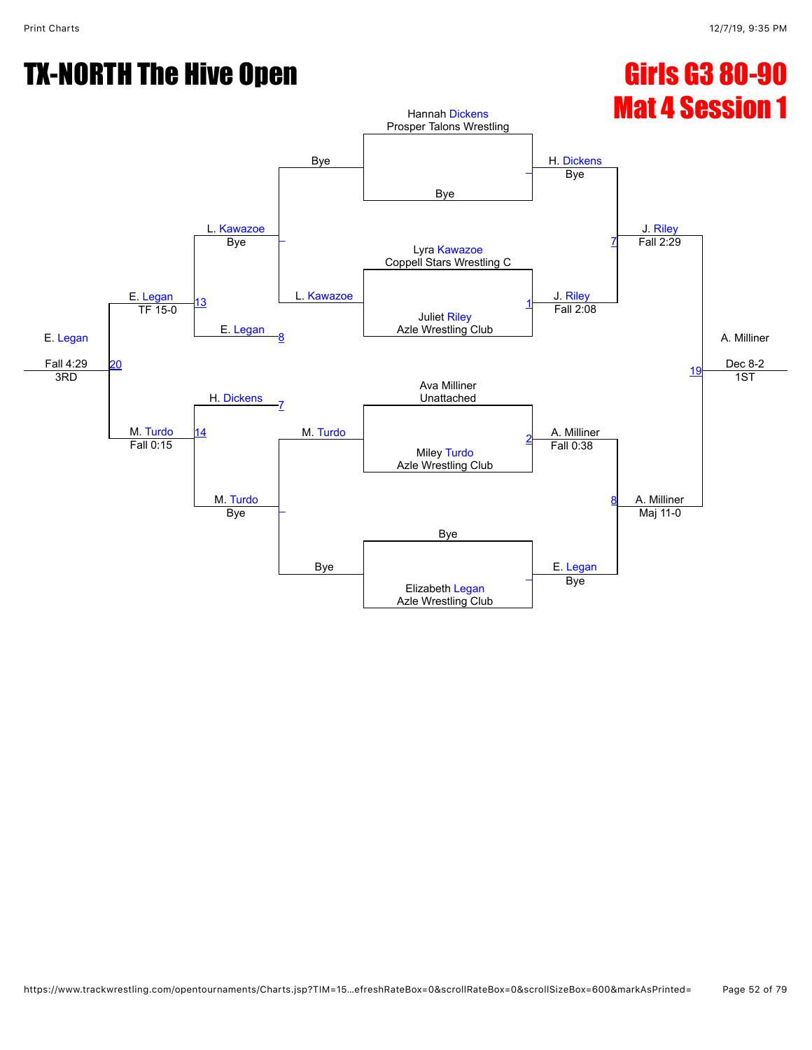# TX-NORTH The Hive Open Girls G3 80-90

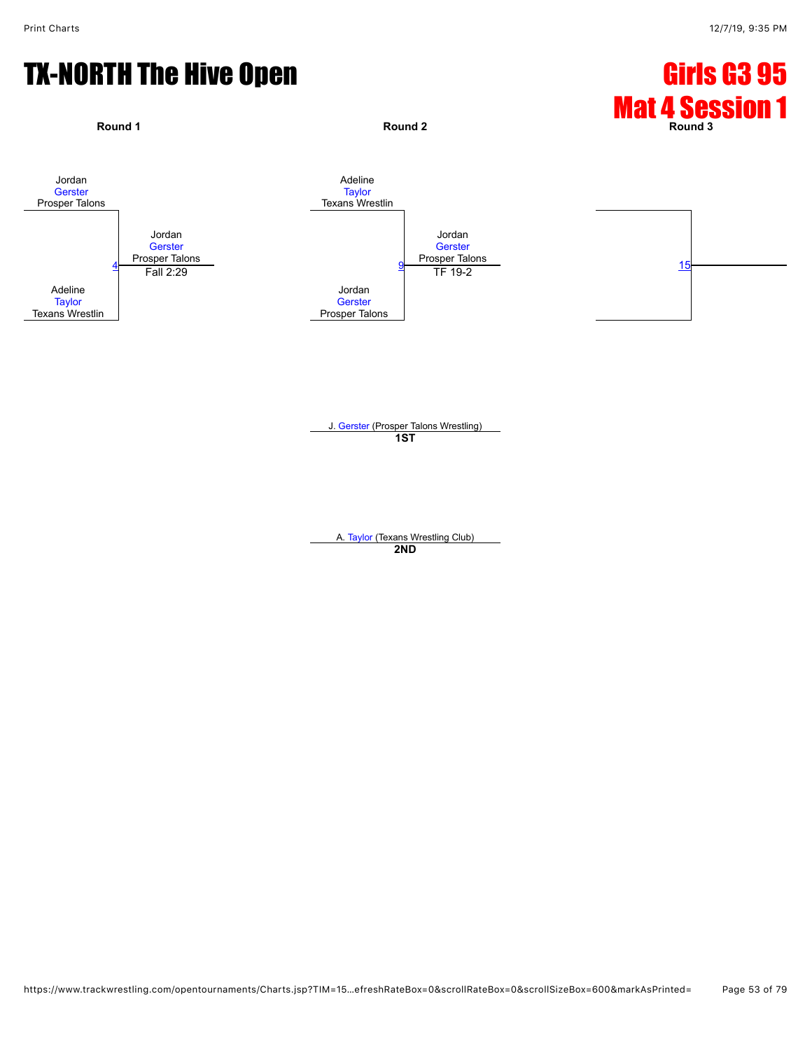### TX-NORTH The Hive Open Girls G3 95



J. [Gerster](javascript:viewProfile(1049906132)) (Prosper Talons Wrestling) **1ST**

A. [Taylor](javascript:viewProfile(65332135)) (Texans Wrestling Club) **2ND**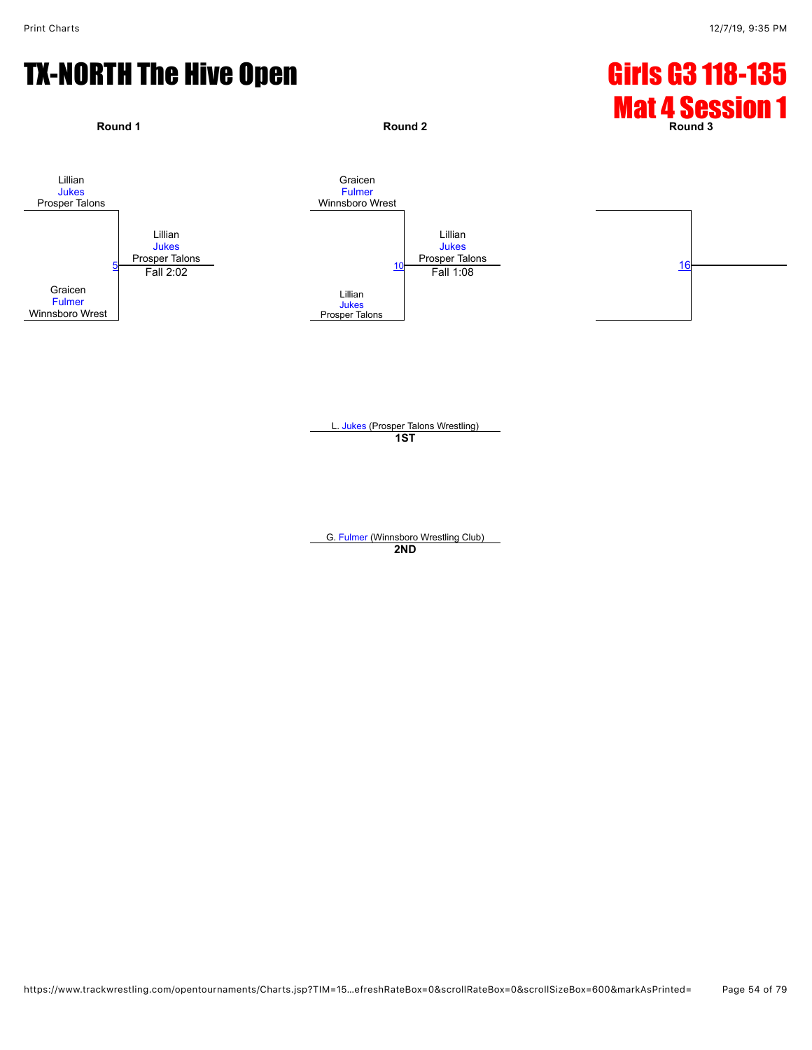# TX-NORTH The Hive Open Girls G3 118-135



L. [Jukes](javascript:viewProfile(107108096)) (Prosper Talons Wrestling) **1ST**

G. [Fulmer](javascript:viewProfile(649411096)) (Winnsboro Wrestling Club) **2ND**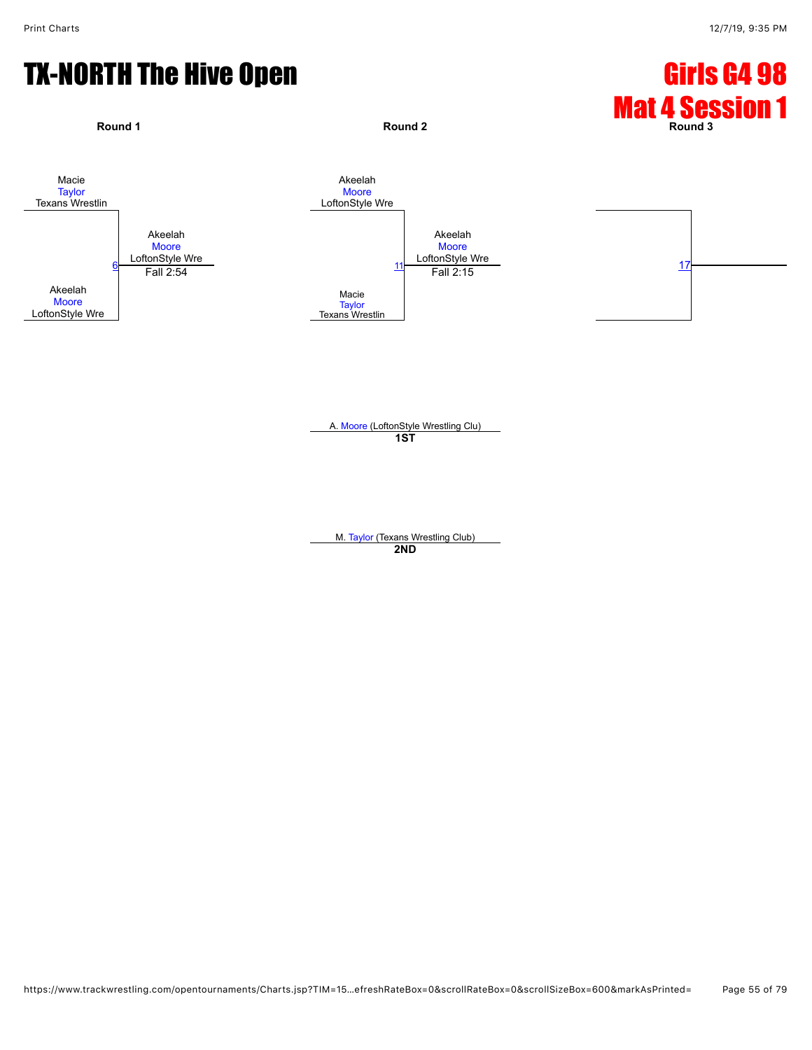### TX-NORTH The Hive Open Girls G4 98



A. [Moore](javascript:viewProfile(91111135)) (LoftonStyle Wrestling Clu) **1ST**

M. [Taylor](javascript:viewProfile(65331135)) (Texans Wrestling Club) **2ND**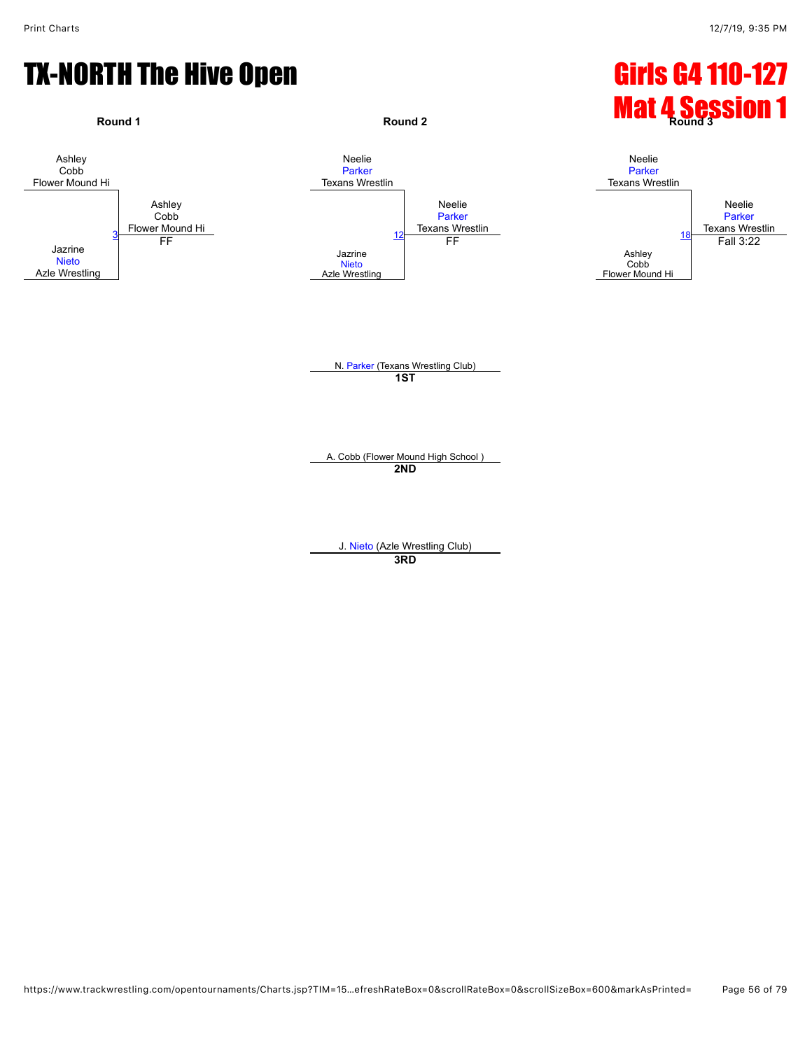#### TX-NORTH The Hive Open Girls G4 110-127



**3RD**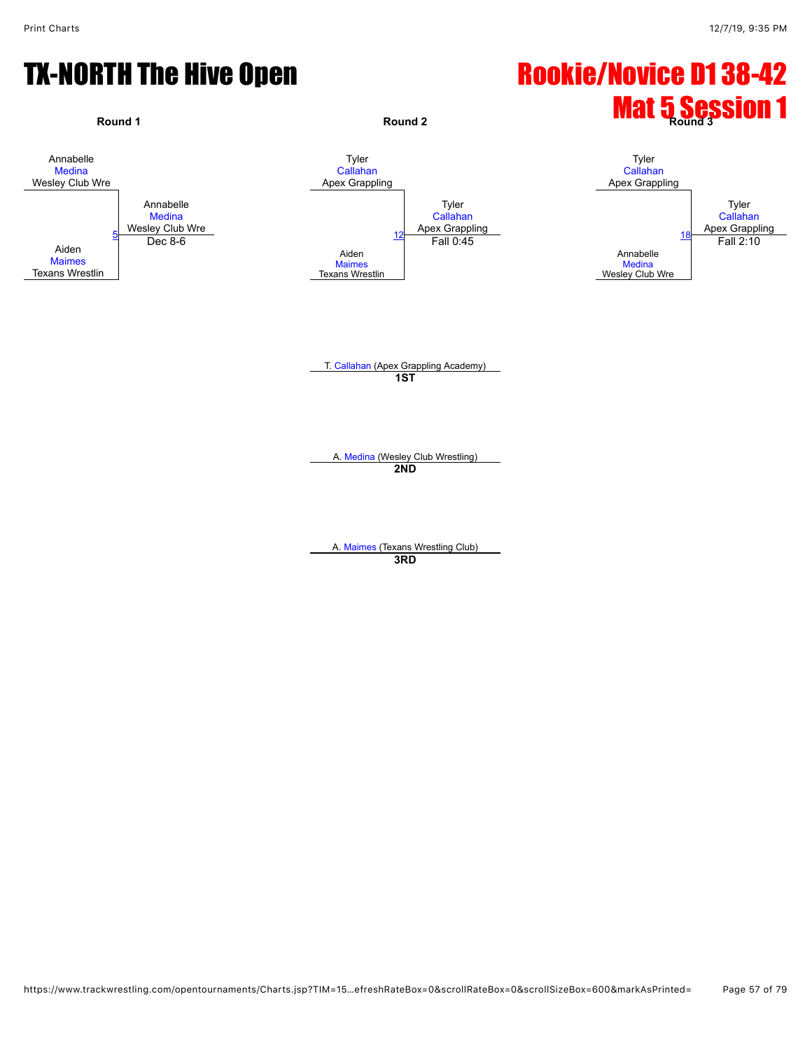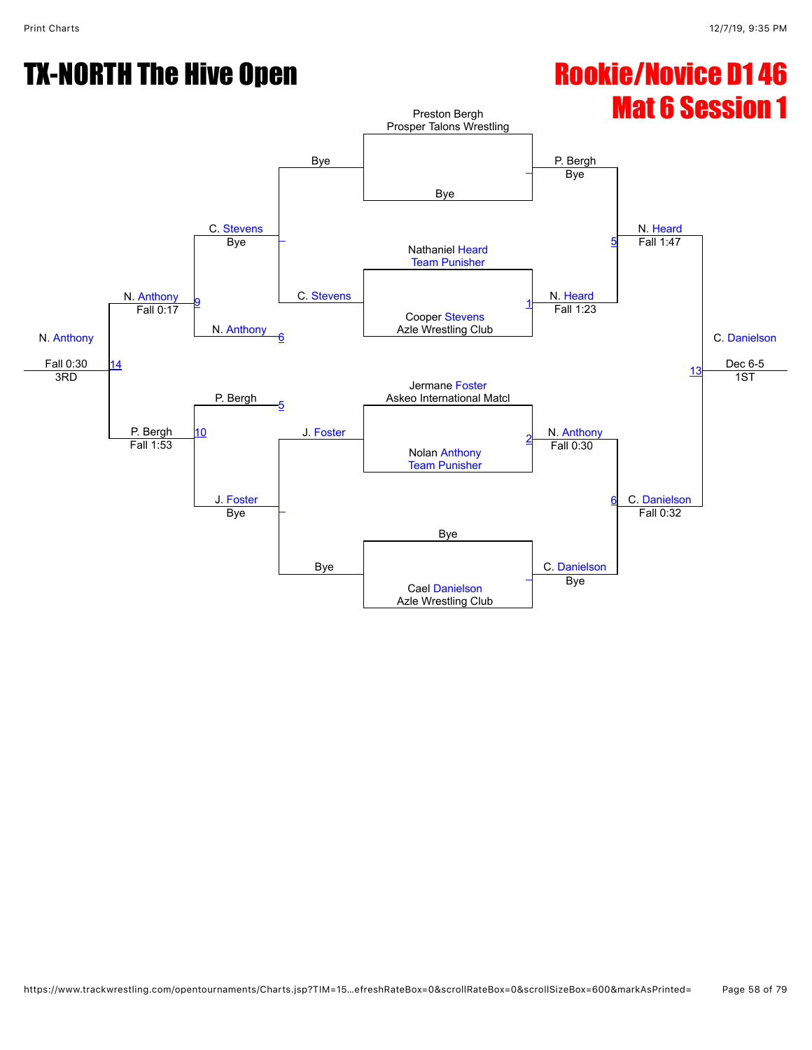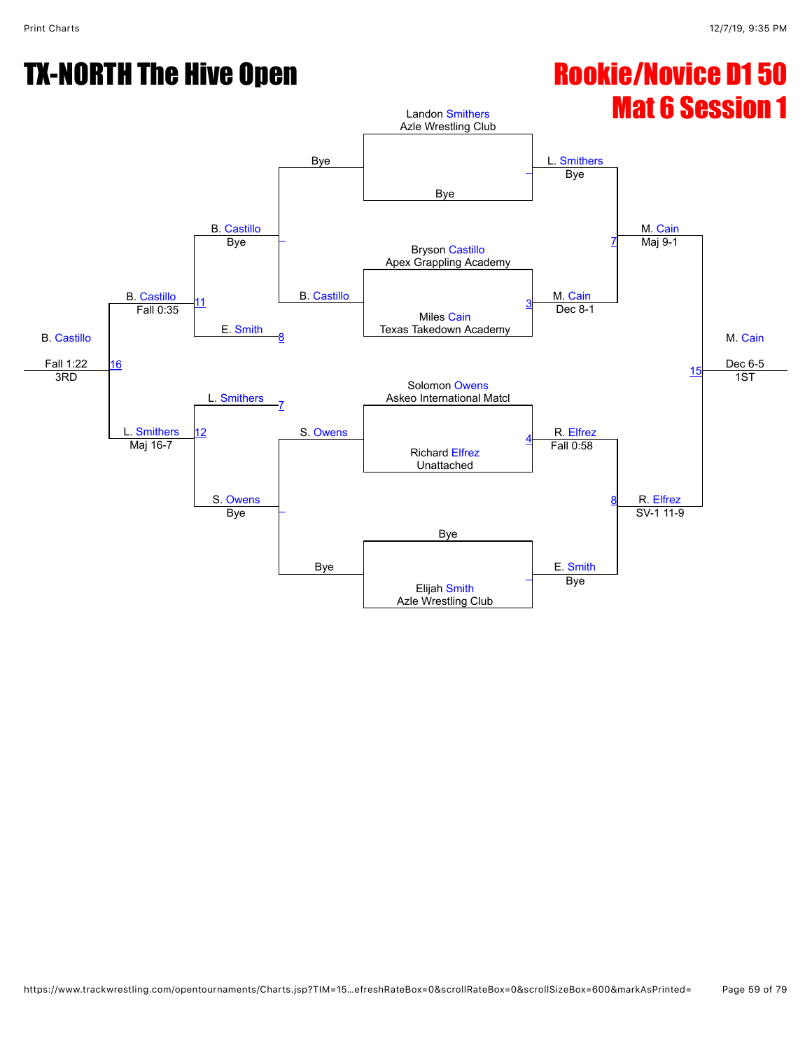# Mat 6 Session 1

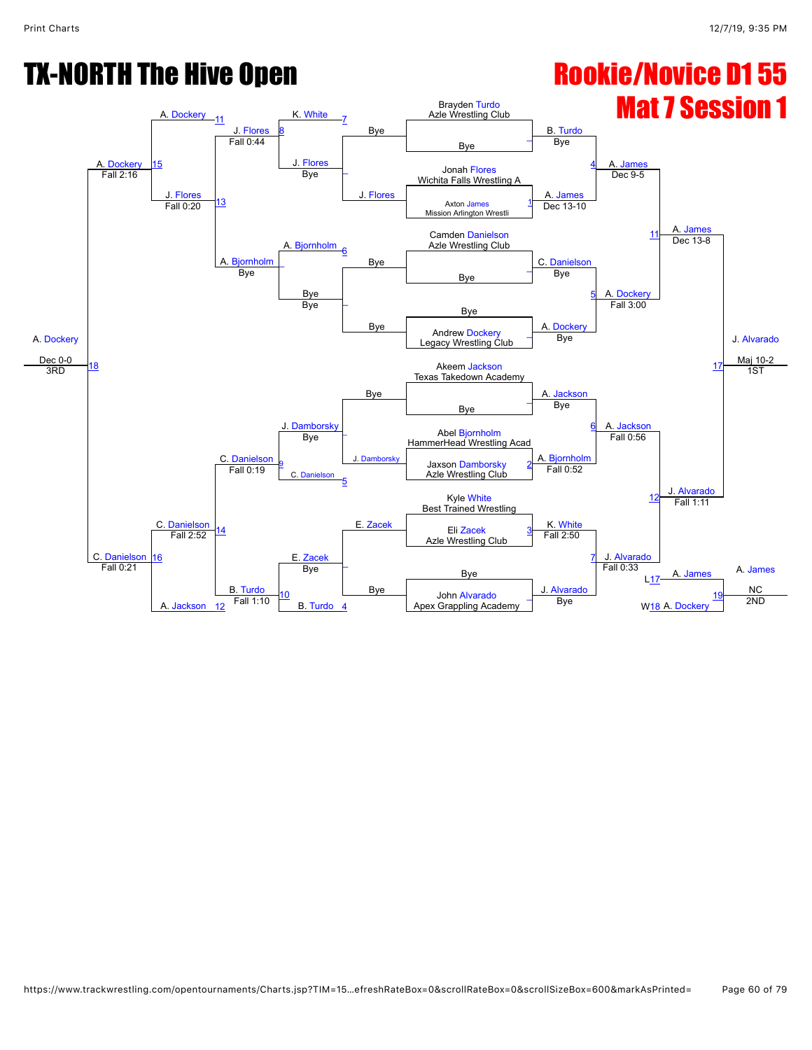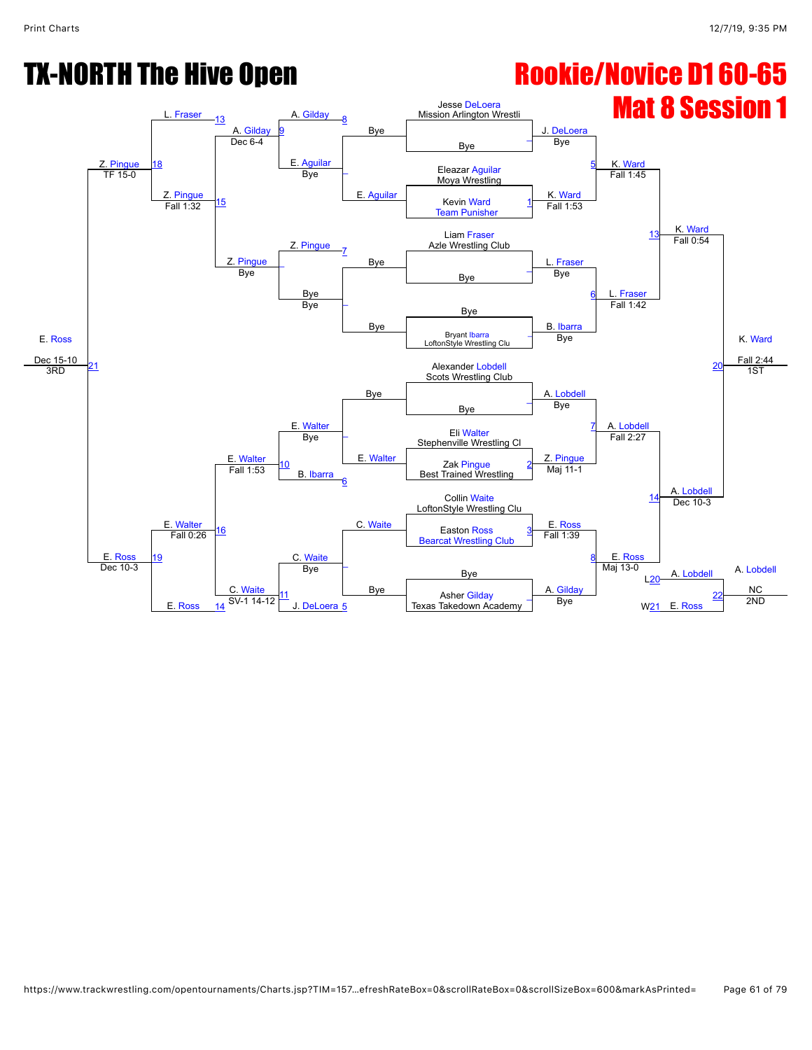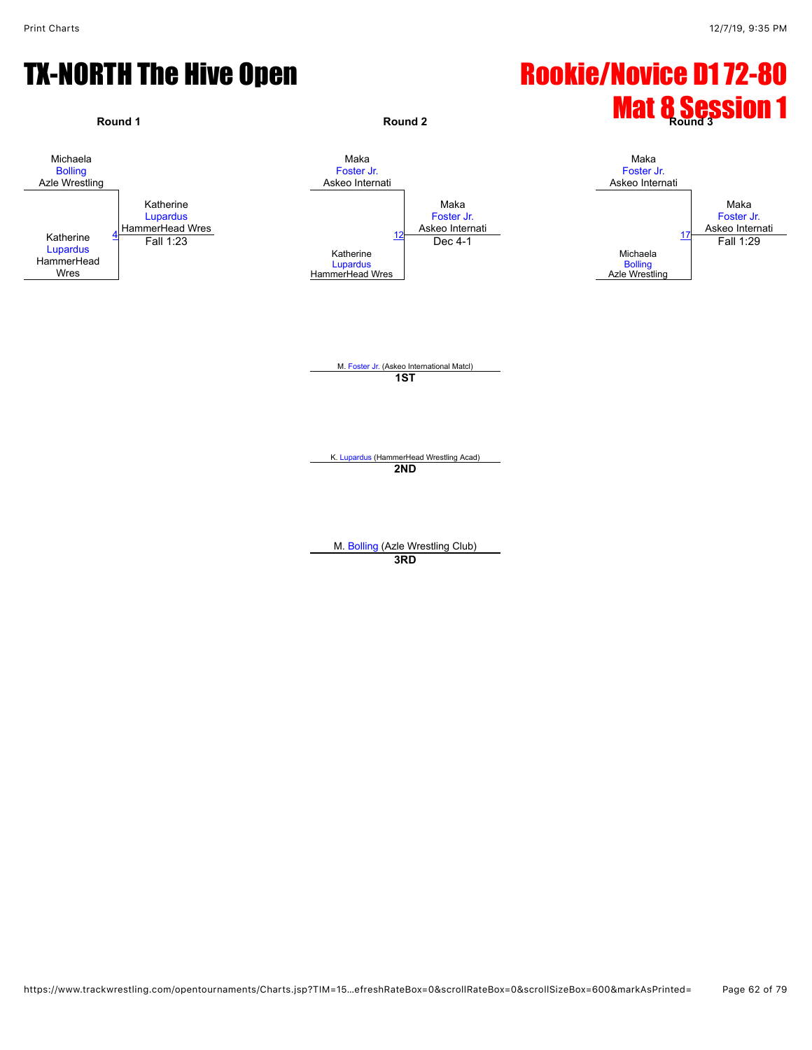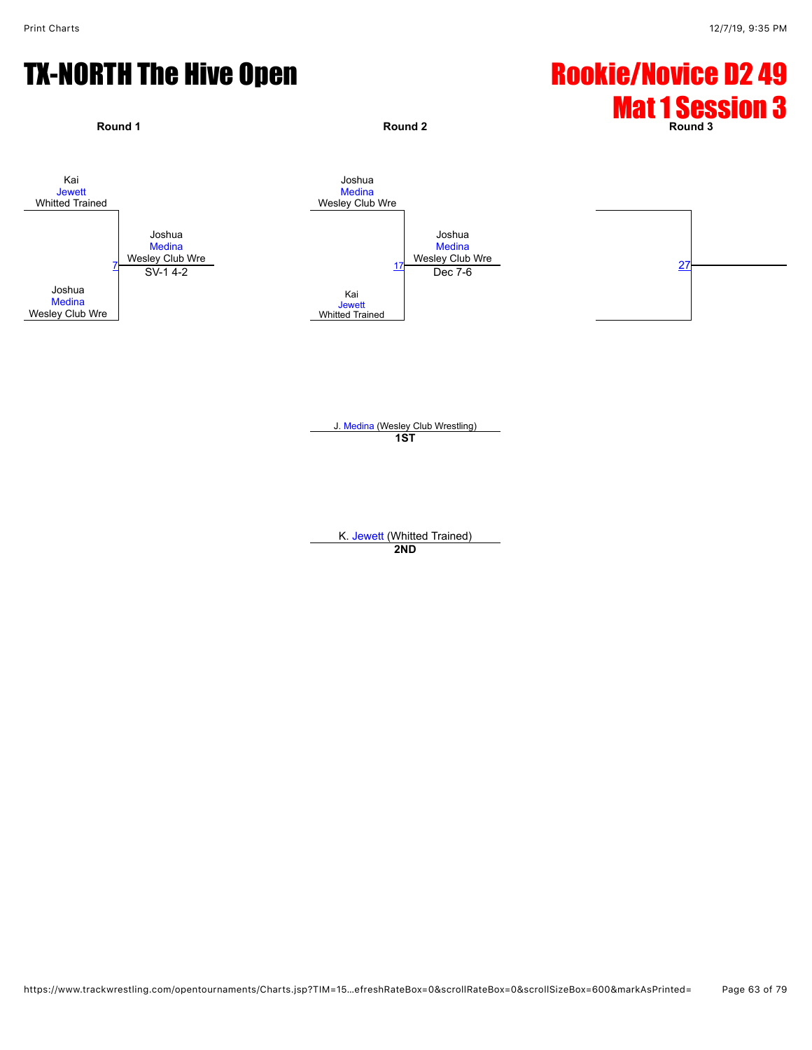

J. [Medina](javascript:viewProfile(911323132)) (Wesley Club Wrestling) **1ST**

K. [Jewett](javascript:viewProfile(36477132)) (Whitted Trained) **2ND**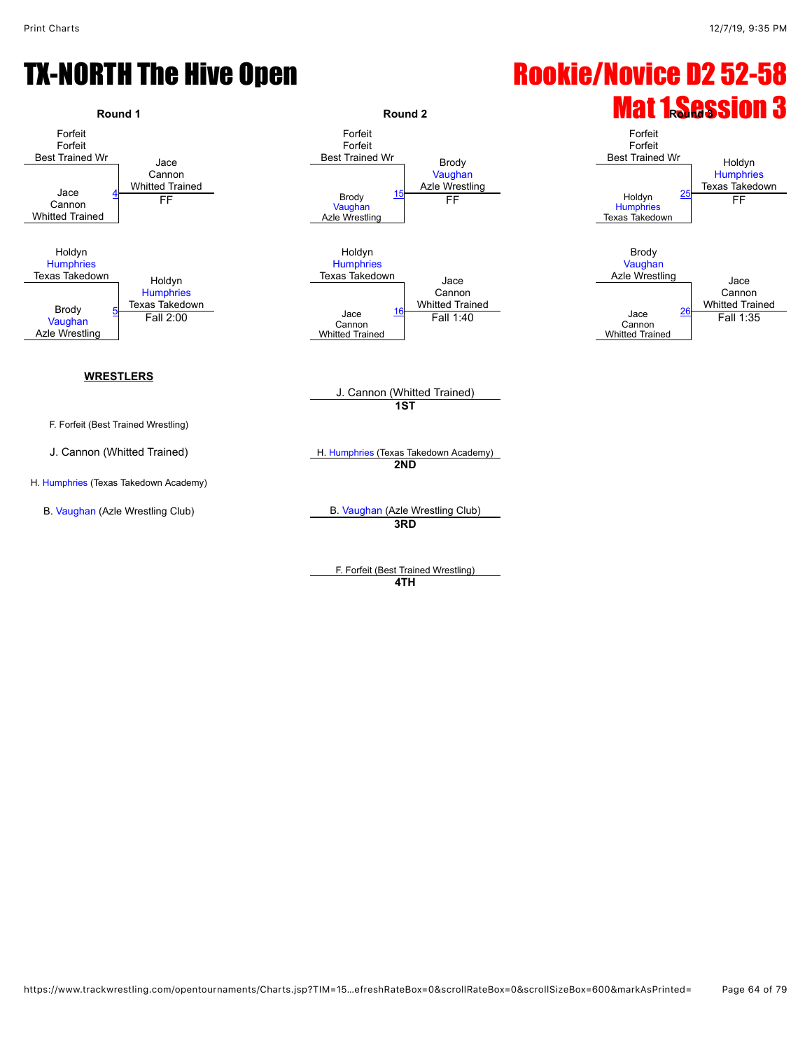

F. Forfeit (Best Trained Wrestling) **4TH**

# TX-NORTH The Hive Open Rookie/Novice D2 52-58

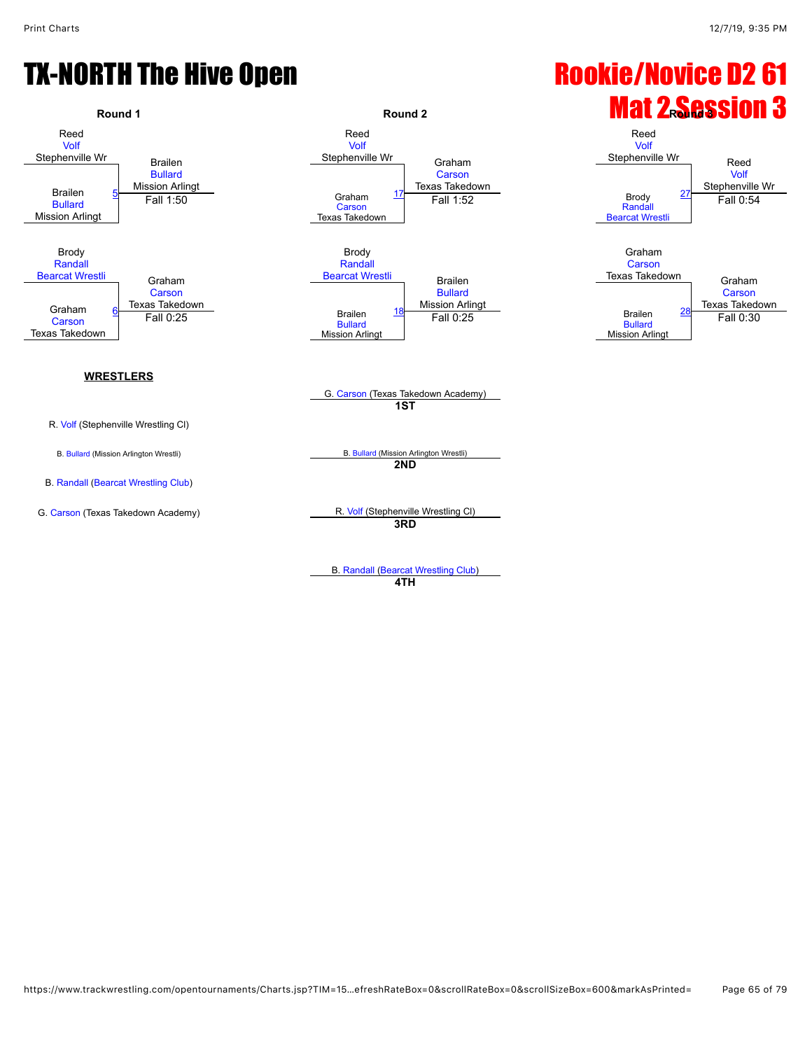

**4TH**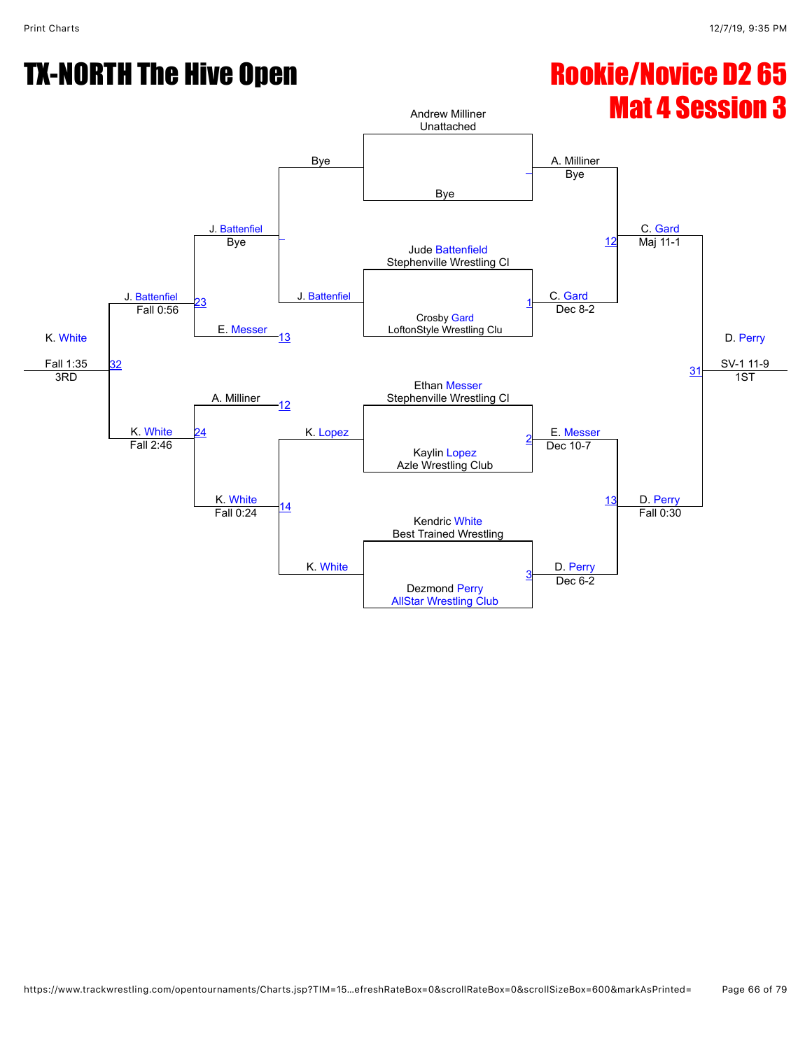

[AllStar Wrestling Club](javascript:viewClub(377009))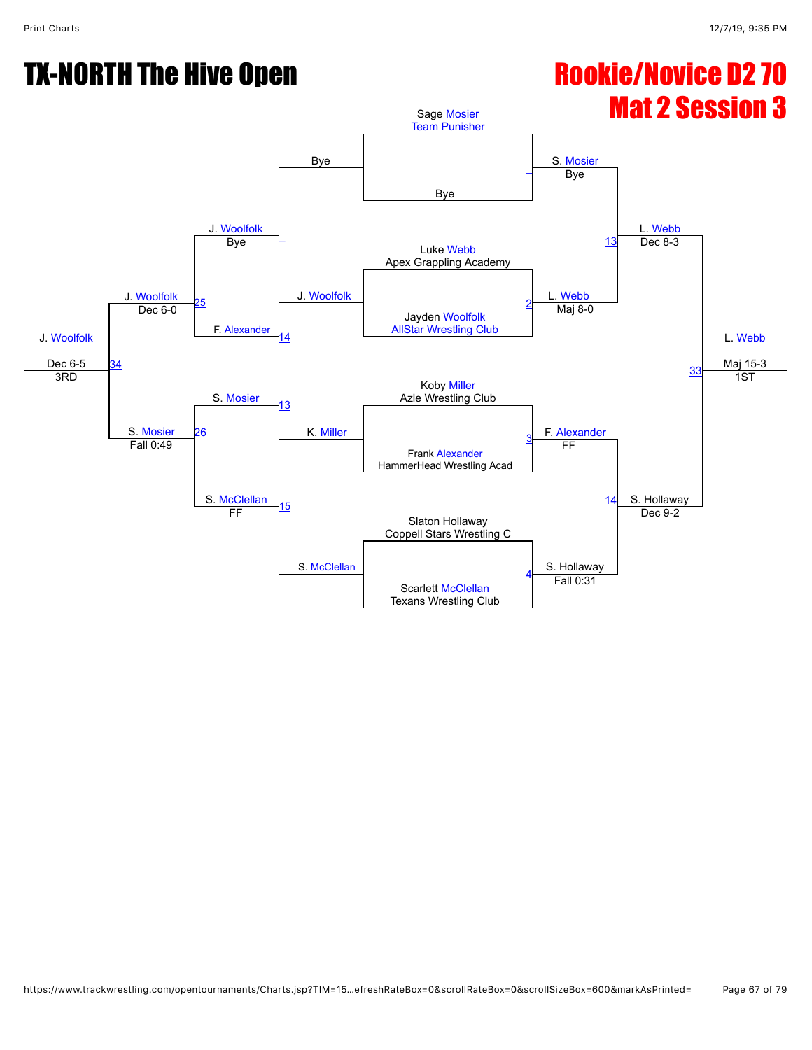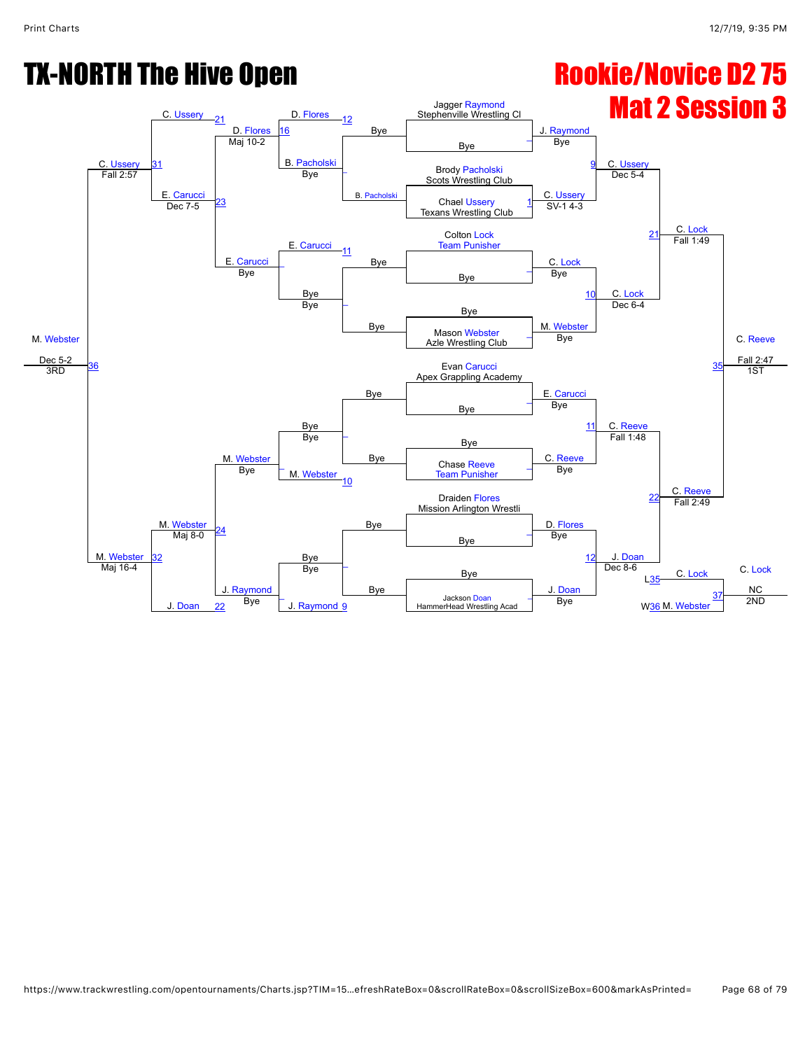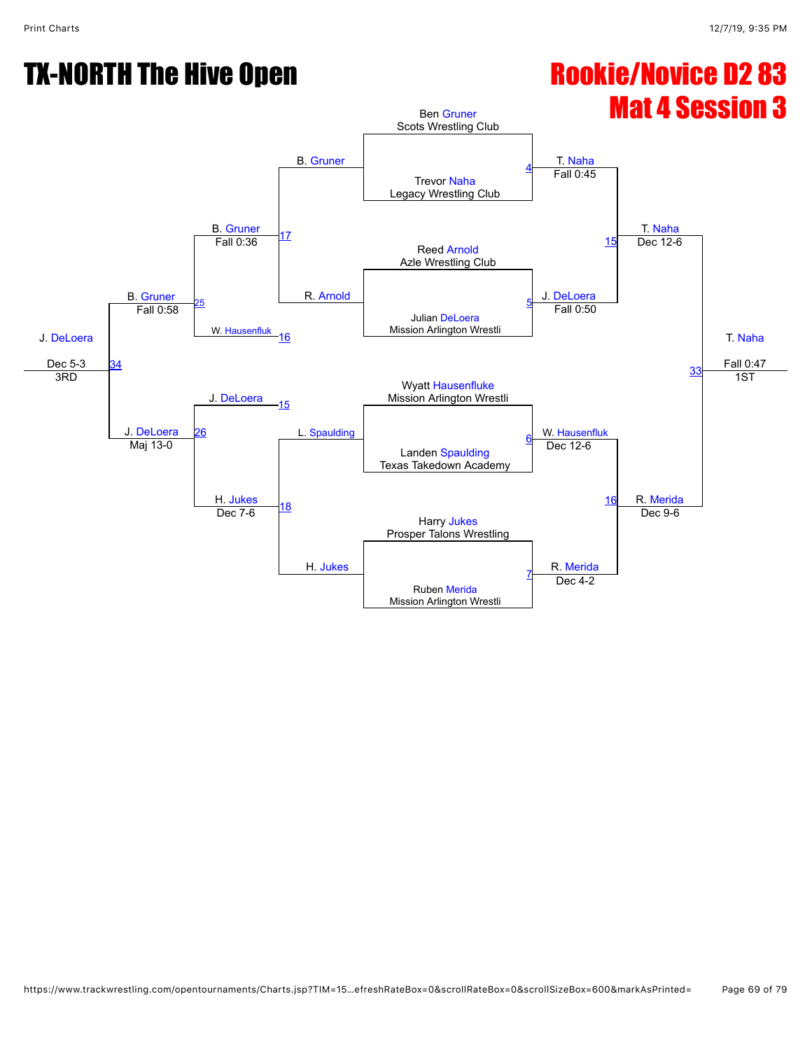# Mat 4 Session 3

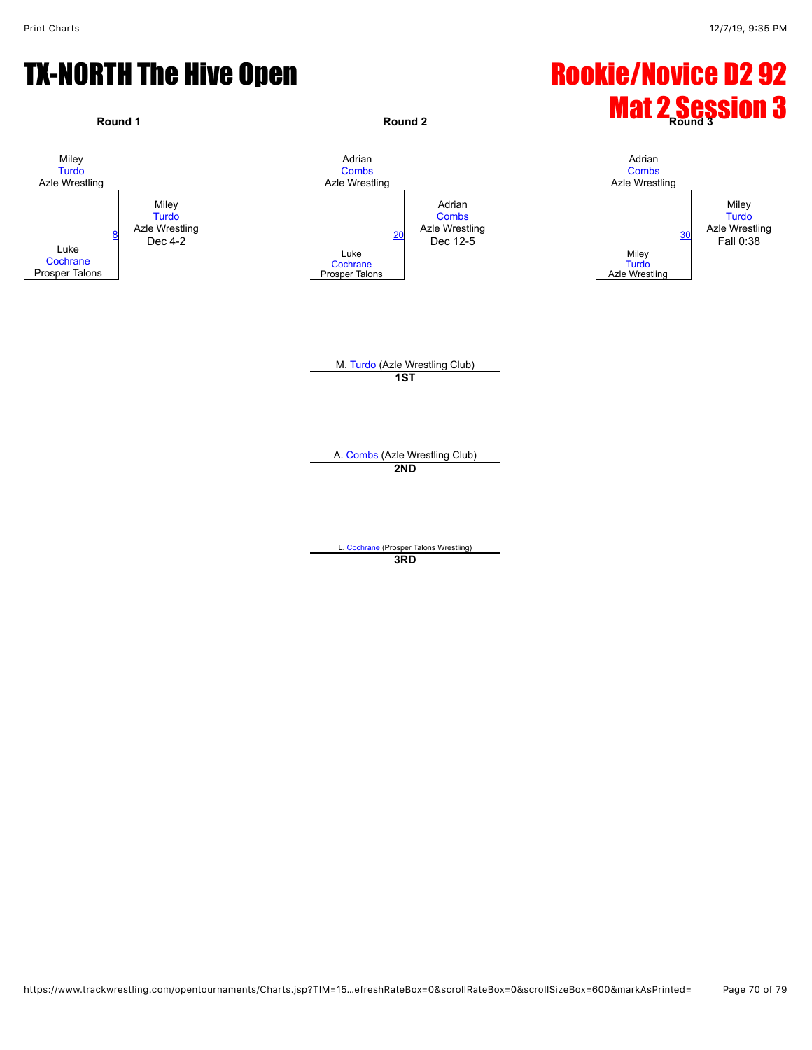

**3RD**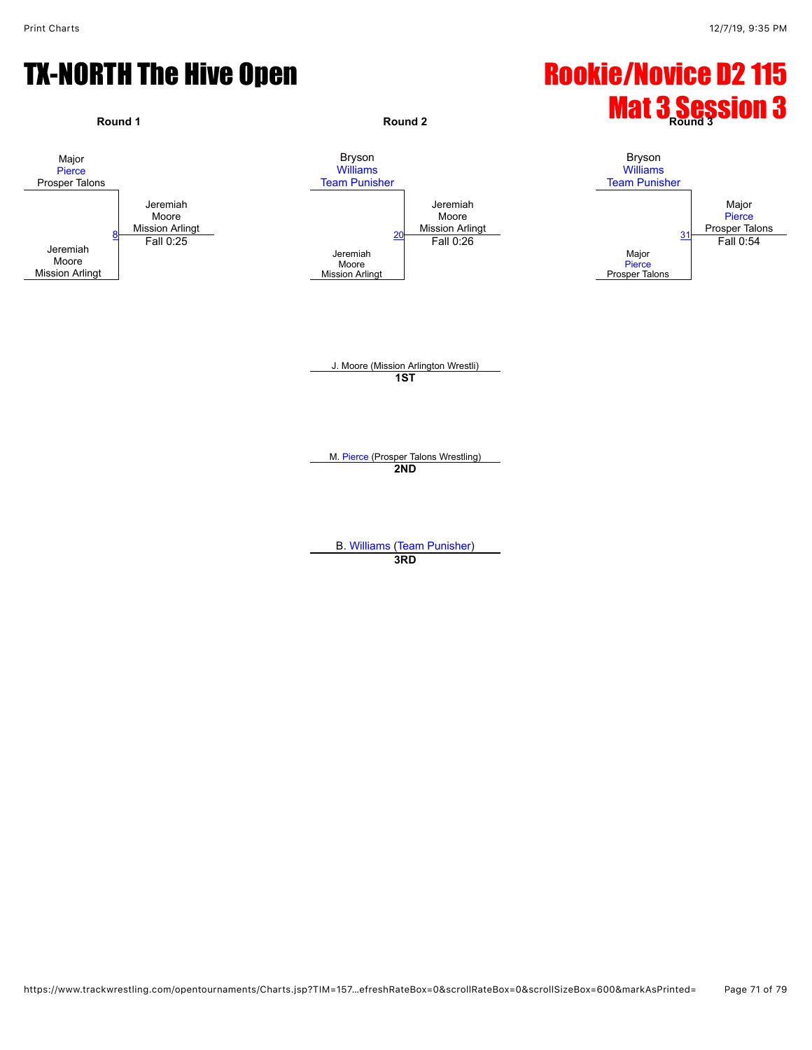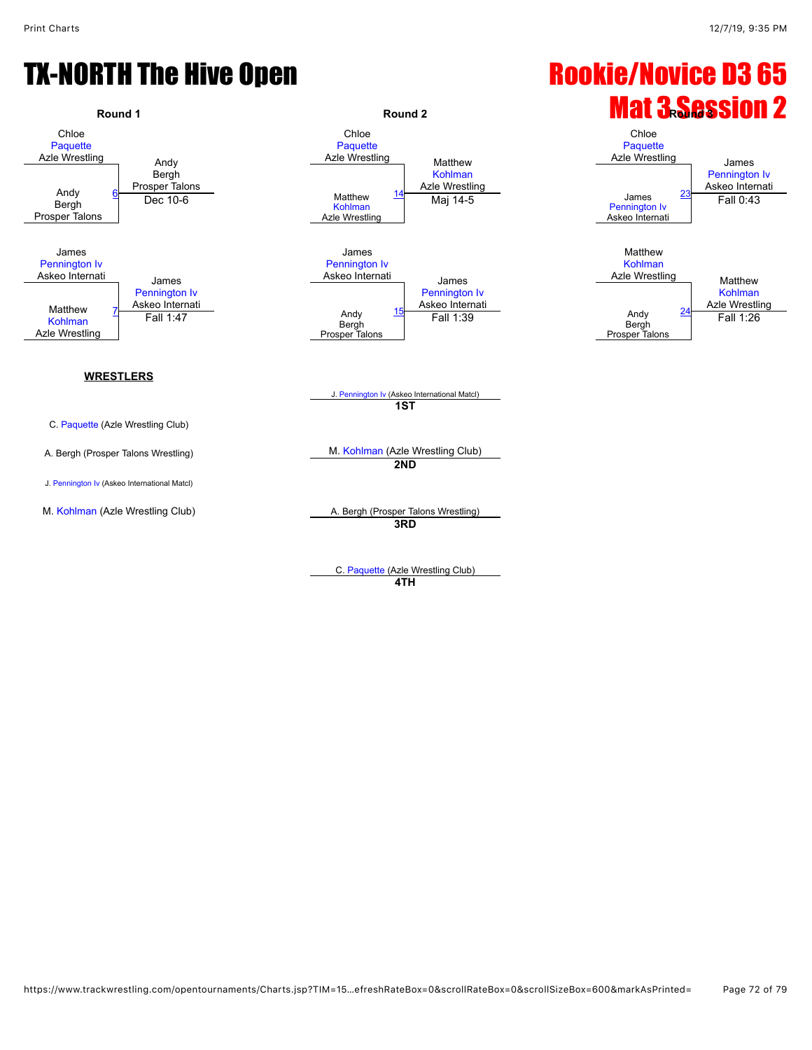

C. [Paquette](javascript:viewProfile(91623135)) (Azle Wrestling Club) **4TH**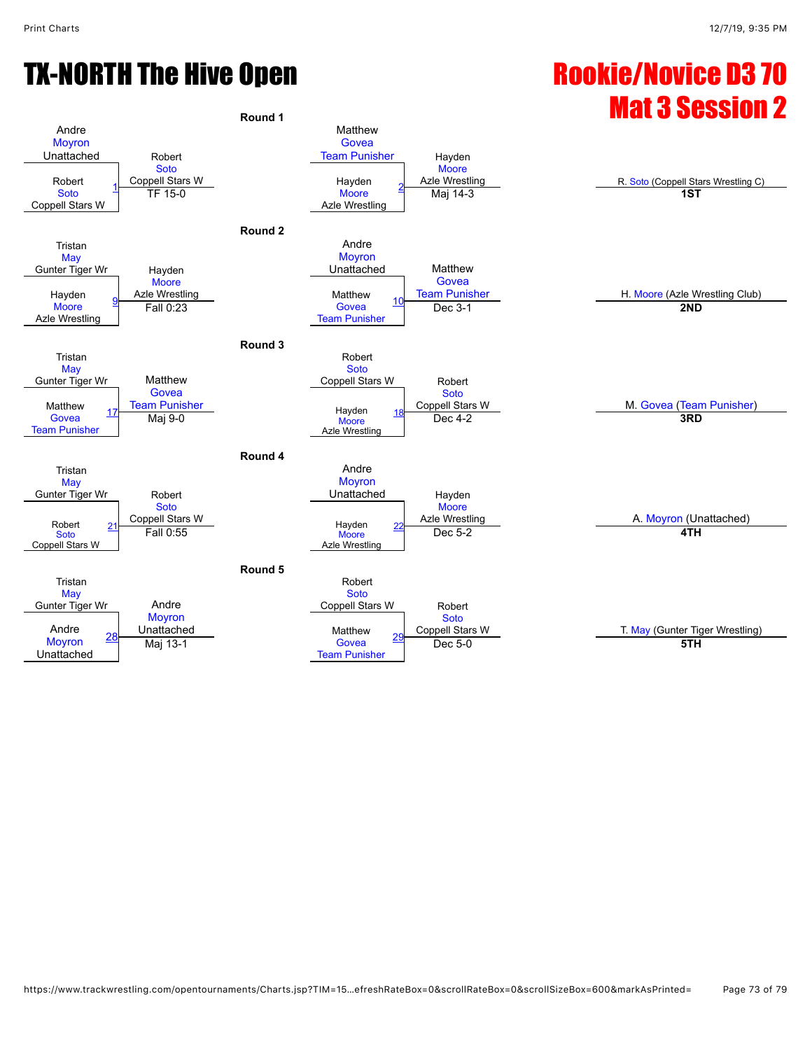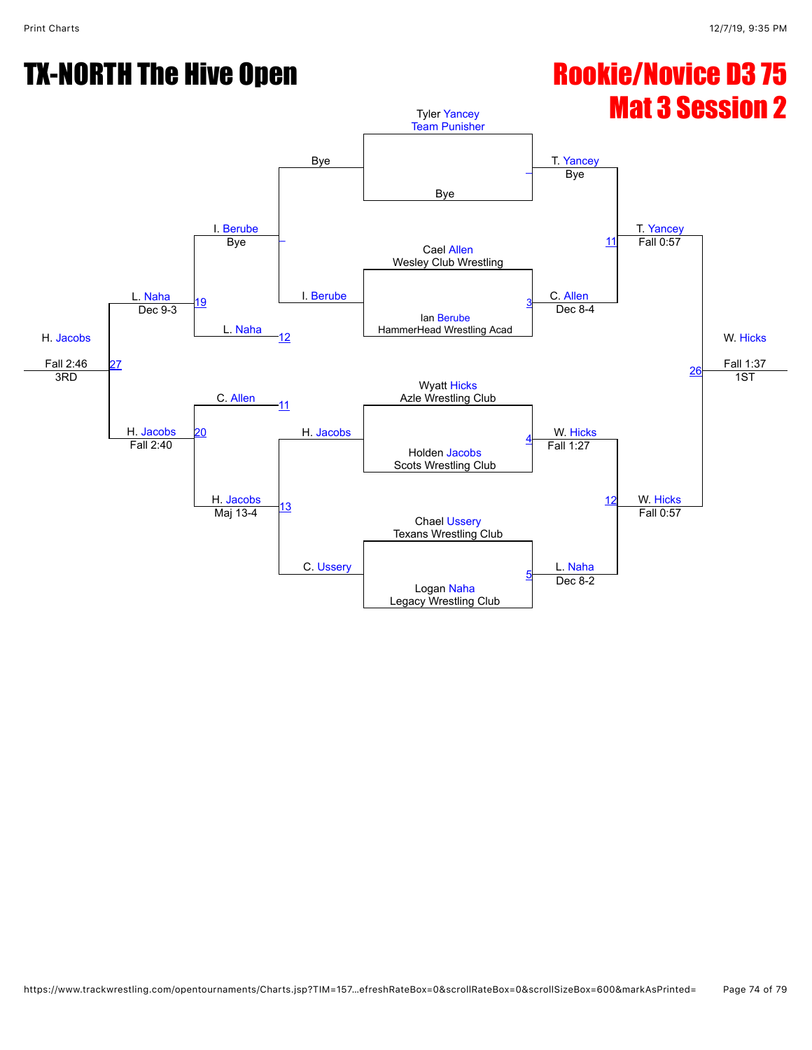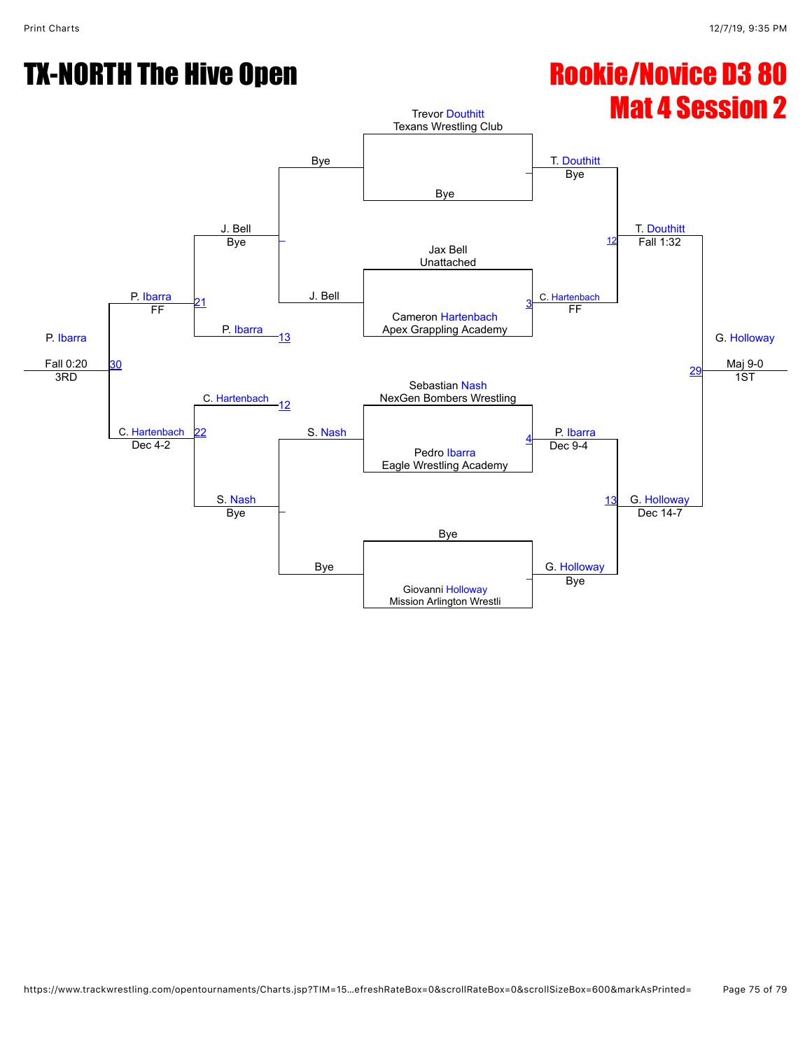# Mat 4 Session 2

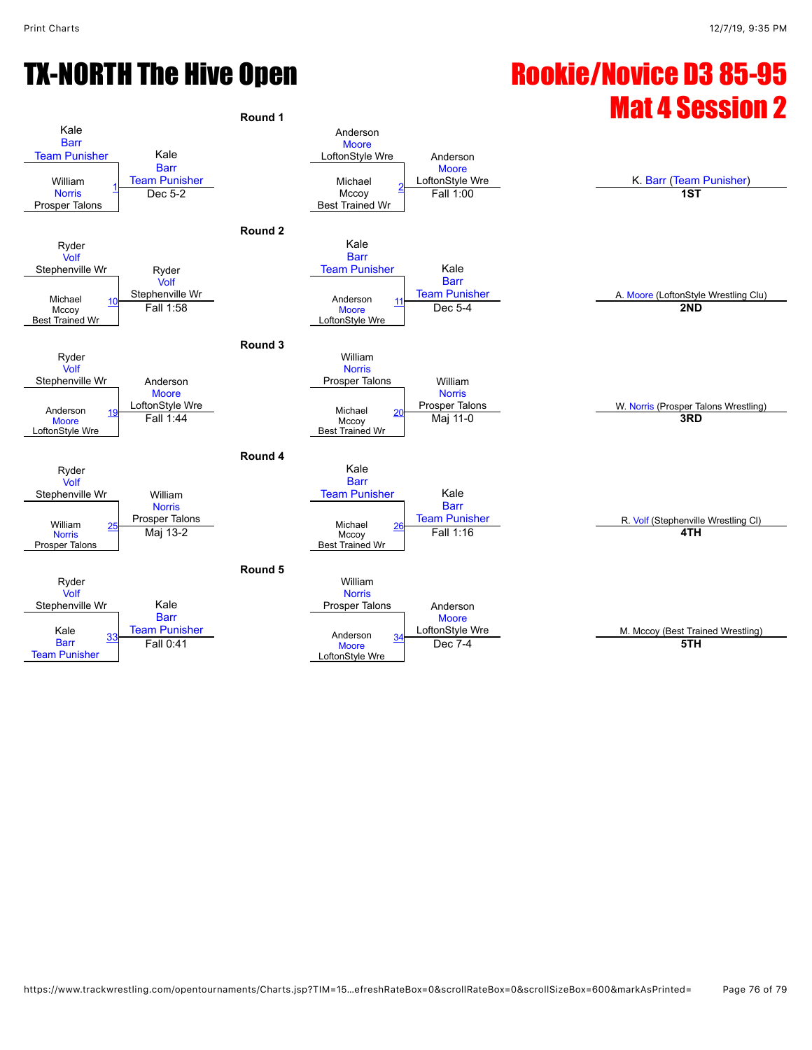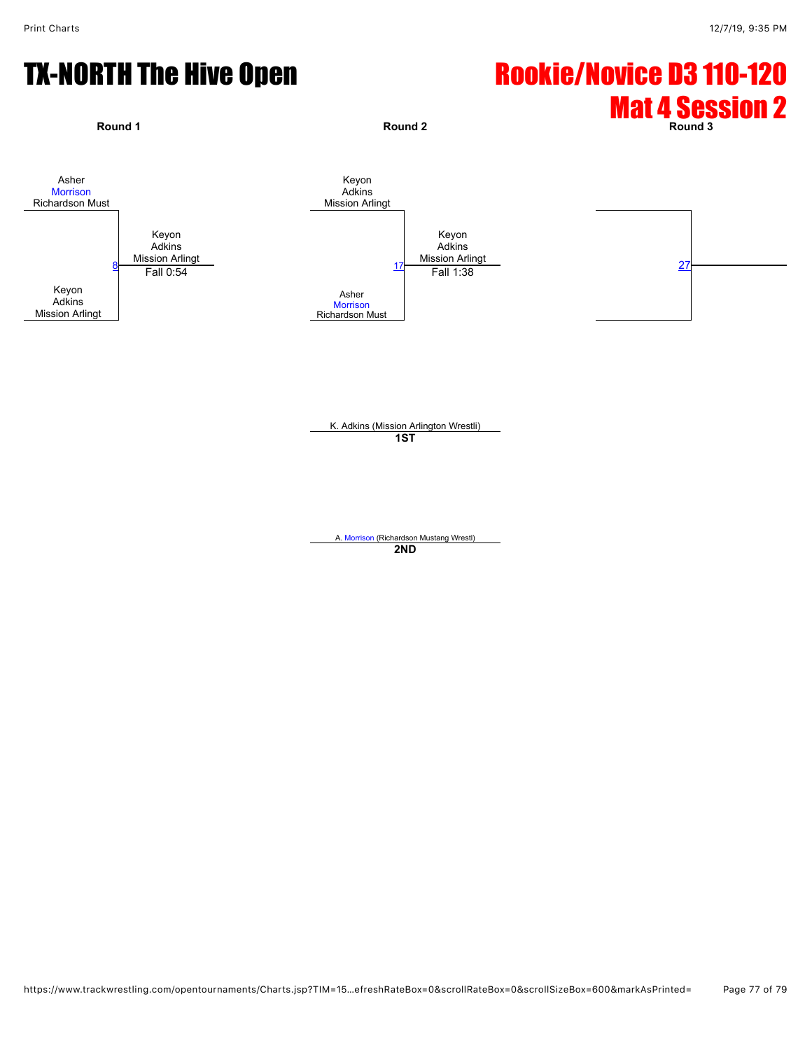

K. Adkins (Mission Arlington Wrestli) **1ST**

A. [Morrison](javascript:viewProfile(136069135)) (Richardson Mustang Wrestl) **2ND**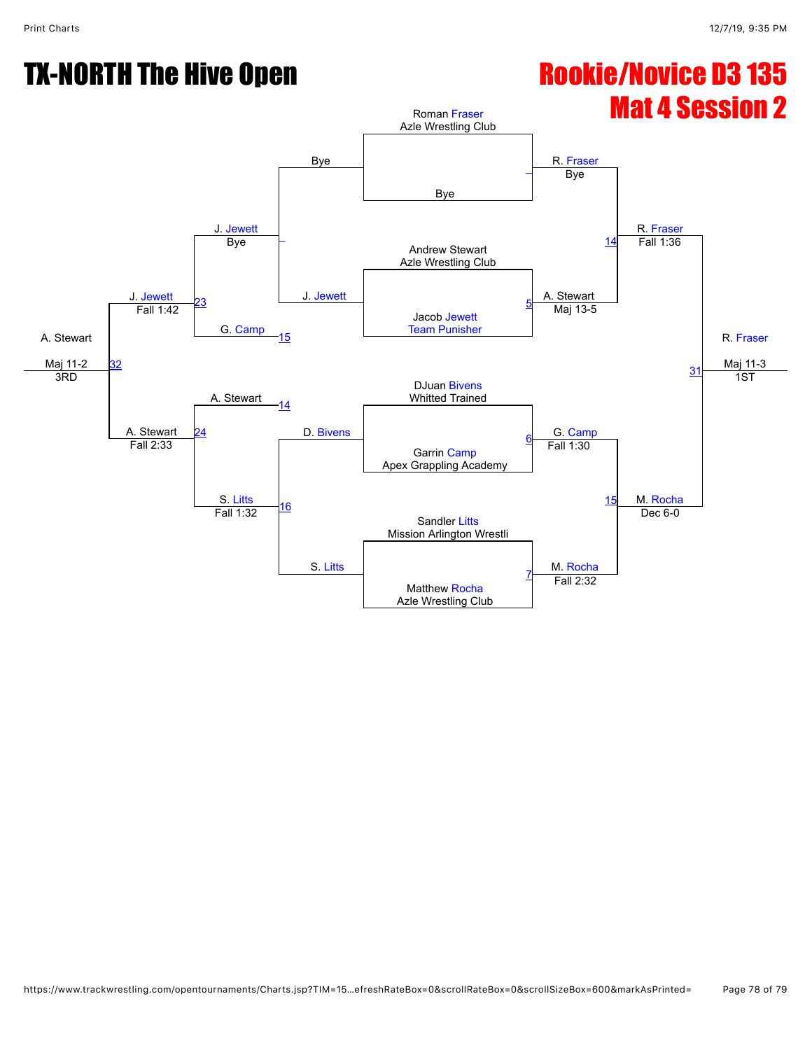# Mat 4 Session 2